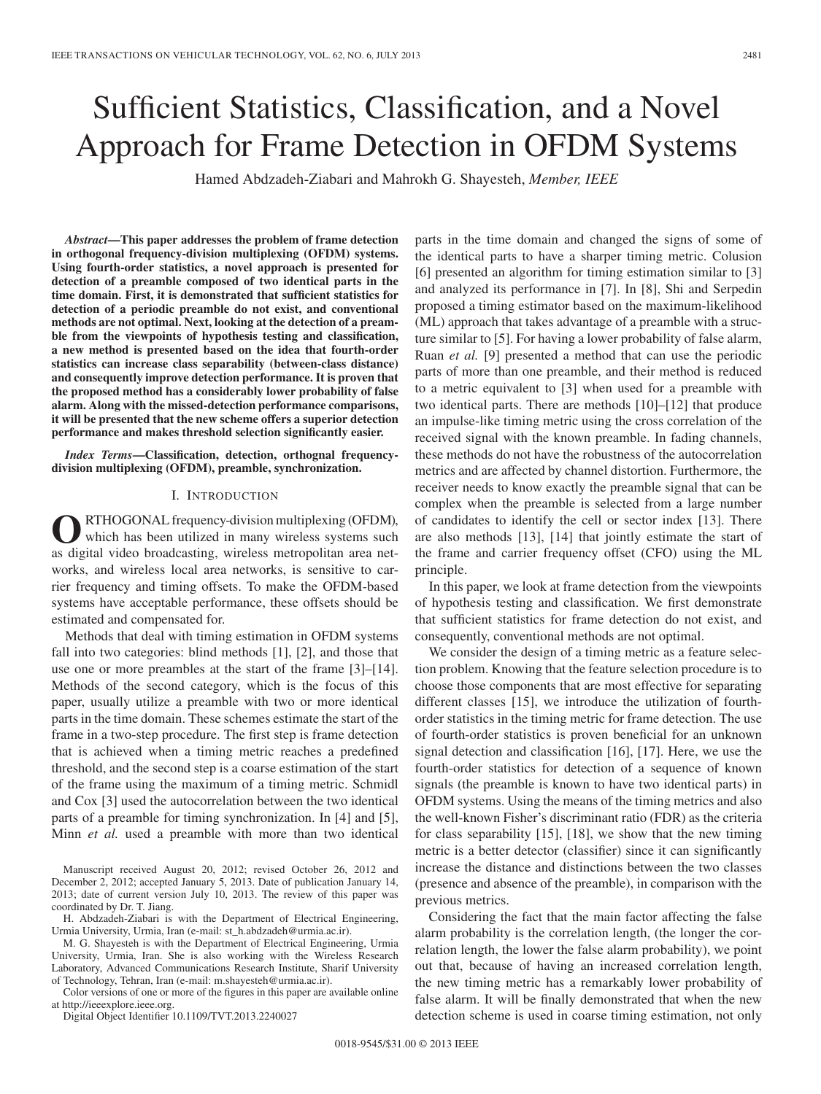# Sufficient Statistics, Classification, and a Novel Approach for Frame Detection in OFDM Systems

Hamed Abdzadeh-Ziabari and Mahrokh G. Shayesteh, *Member, IEEE*

*Abstract***—This paper addresses the problem of frame detection in orthogonal frequency-division multiplexing (OFDM) systems. Using fourth-order statistics, a novel approach is presented for detection of a preamble composed of two identical parts in the time domain. First, it is demonstrated that sufficient statistics for detection of a periodic preamble do not exist, and conventional methods are not optimal. Next, looking at the detection of a preamble from the viewpoints of hypothesis testing and classification, a new method is presented based on the idea that fourth-order statistics can increase class separability (between-class distance) and consequently improve detection performance. It is proven that the proposed method has a considerably lower probability of false alarm. Along with the missed-detection performance comparisons, it will be presented that the new scheme offers a superior detection performance and makes threshold selection significantly easier.**

*Index Terms***—Classification, detection, orthognal frequencydivision multiplexing (OFDM), preamble, synchronization.**

#### I. INTRODUCTION

**O**RTHOGONAL frequency-division multiplexing (OFDM), which has been utilized in many wireless systems such as digital video broadcasting, wireless metropolitan area networks, and wireless local area networks, is sensitive to carrier frequency and timing offsets. To make the OFDM-based systems have acceptable performance, these offsets should be estimated and compensated for.

Methods that deal with timing estimation in OFDM systems fall into two categories: blind methods [1], [2], and those that use one or more preambles at the start of the frame [3]–[14]. Methods of the second category, which is the focus of this paper, usually utilize a preamble with two or more identical parts in the time domain. These schemes estimate the start of the frame in a two-step procedure. The first step is frame detection that is achieved when a timing metric reaches a predefined threshold, and the second step is a coarse estimation of the start of the frame using the maximum of a timing metric. Schmidl and Cox [3] used the autocorrelation between the two identical parts of a preamble for timing synchronization. In [4] and [5], Minn *et al.* used a preamble with more than two identical

Manuscript received August 20, 2012; revised October 26, 2012 and December 2, 2012; accepted January 5, 2013. Date of publication January 14, 2013; date of current version July 10, 2013. The review of this paper was coordinated by Dr. T. Jiang.

H. Abdzadeh-Ziabari is with the Department of Electrical Engineering, Urmia University, Urmia, Iran [\(e-mail: st\\_h.abdzadeh@urmia.ac.ir\).](mailto: st_h.abdzadeh@urmia.ac.ir)

M. G. Shayesteh is with the Department of Electrical Engineering, Urmia University, Urmia, Iran. She is also working with the Wireless Research Laboratory, Advanced Communications Research Institute, Sharif University of Technology, Tehran, Iran [\(e-mail: m.shayesteh@urmia.ac.ir\).](mailto: m.shayesteh@urmia.ac.ir)

Color versions of one or more of the figures in this paper are available online at http://ieeexplore.ieee.org.

Digital Object Identifier 10.1109/TVT.2013.2240027

parts in the time domain and changed the signs of some of the identical parts to have a sharper timing metric. Colusion [6] presented an algorithm for timing estimation similar to [3] and analyzed its performance in [7]. In [8], Shi and Serpedin proposed a timing estimator based on the maximum-likelihood (ML) approach that takes advantage of a preamble with a structure similar to [5]. For having a lower probability of false alarm, Ruan *et al.* [9] presented a method that can use the periodic parts of more than one preamble, and their method is reduced to a metric equivalent to [3] when used for a preamble with two identical parts. There are methods [10]–[12] that produce an impulse-like timing metric using the cross correlation of the received signal with the known preamble. In fading channels, these methods do not have the robustness of the autocorrelation metrics and are affected by channel distortion. Furthermore, the receiver needs to know exactly the preamble signal that can be complex when the preamble is selected from a large number of candidates to identify the cell or sector index [13]. There are also methods [13], [14] that jointly estimate the start of the frame and carrier frequency offset (CFO) using the ML principle.

In this paper, we look at frame detection from the viewpoints of hypothesis testing and classification. We first demonstrate that sufficient statistics for frame detection do not exist, and consequently, conventional methods are not optimal.

We consider the design of a timing metric as a feature selection problem. Knowing that the feature selection procedure is to choose those components that are most effective for separating different classes [15], we introduce the utilization of fourthorder statistics in the timing metric for frame detection. The use of fourth-order statistics is proven beneficial for an unknown signal detection and classification [16], [17]. Here, we use the fourth-order statistics for detection of a sequence of known signals (the preamble is known to have two identical parts) in OFDM systems. Using the means of the timing metrics and also the well-known Fisher's discriminant ratio (FDR) as the criteria for class separability [15], [18], we show that the new timing metric is a better detector (classifier) since it can significantly increase the distance and distinctions between the two classes (presence and absence of the preamble), in comparison with the previous metrics.

Considering the fact that the main factor affecting the false alarm probability is the correlation length, (the longer the correlation length, the lower the false alarm probability), we point out that, because of having an increased correlation length, the new timing metric has a remarkably lower probability of false alarm. It will be finally demonstrated that when the new detection scheme is used in coarse timing estimation, not only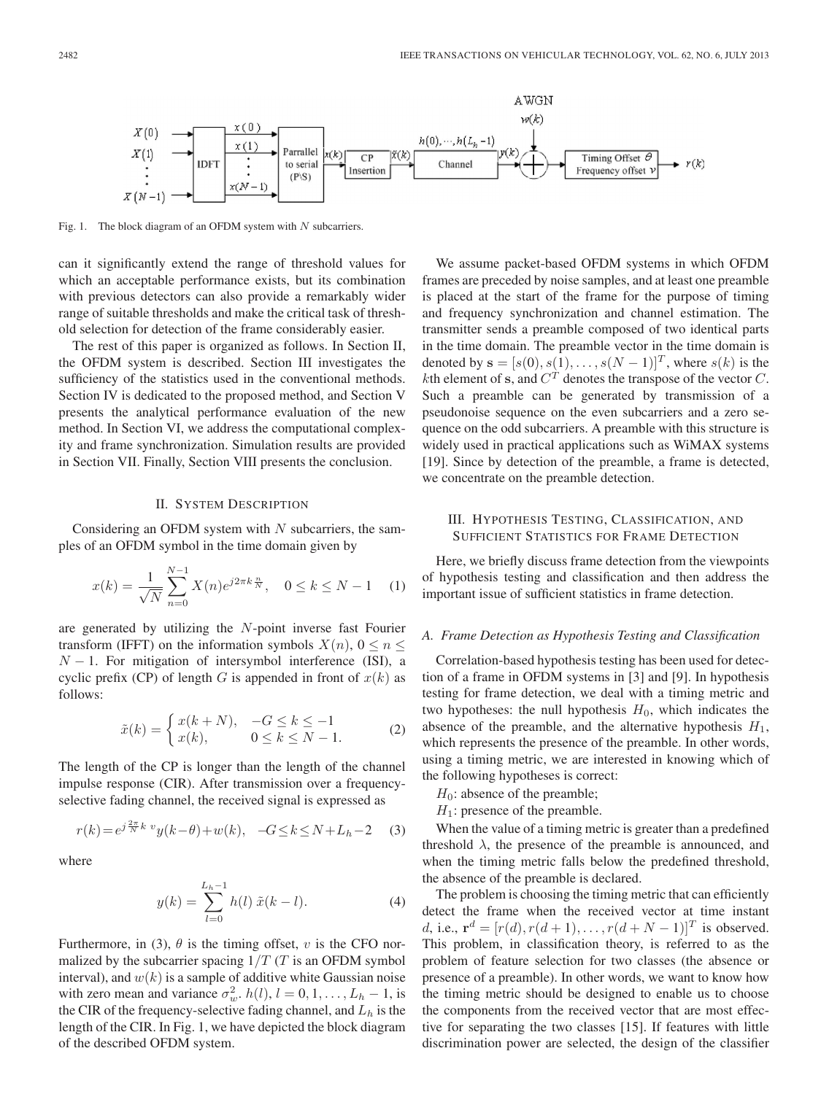

Fig. 1. The block diagram of an OFDM system with  $N$  subcarriers.

can it significantly extend the range of threshold values for which an acceptable performance exists, but its combination with previous detectors can also provide a remarkably wider range of suitable thresholds and make the critical task of threshold selection for detection of the frame considerably easier.

The rest of this paper is organized as follows. In Section II, the OFDM system is described. Section III investigates the sufficiency of the statistics used in the conventional methods. Section IV is dedicated to the proposed method, and Section V presents the analytical performance evaluation of the new method. In Section VI, we address the computational complexity and frame synchronization. Simulation results are provided in Section VII. Finally, Section VIII presents the conclusion.

## II. SYSTEM DESCRIPTION

Considering an OFDM system with  $N$  subcarriers, the samples of an OFDM symbol in the time domain given by

$$
x(k) = \frac{1}{\sqrt{N}} \sum_{n=0}^{N-1} X(n) e^{j2\pi k \frac{n}{N}}, \quad 0 \le k \le N-1 \quad (1)
$$

are generated by utilizing the N-point inverse fast Fourier transform (IFFT) on the information symbols  $X(n)$ ,  $0 \le n \le$  $N - 1$ . For mitigation of intersymbol interference (ISI), a cyclic prefix (CP) of length G is appended in front of  $x(k)$  as follows:

$$
\tilde{x}(k) = \begin{cases}\nx(k+N), & -G \le k \le -1 \\
x(k), & 0 \le k \le N-1.\n\end{cases}\n\tag{2}
$$

The length of the CP is longer than the length of the channel impulse response (CIR). After transmission over a frequencyselective fading channel, the received signal is expressed as

$$
r(k) = e^{j\frac{2\pi}{N}k} y(k-\theta) + w(k), \quad -G \le k \le N + L_h - 2 \tag{3}
$$

where

$$
y(k) = \sum_{l=0}^{L_h - 1} h(l) \tilde{x}(k - l).
$$
 (4)

Furthermore, in (3),  $\theta$  is the timing offset, v is the CFO normalized by the subcarrier spacing  $1/T$  (T is an OFDM symbol interval), and  $w(k)$  is a sample of additive white Gaussian noise with zero mean and variance  $\sigma_w^2$ .  $h(l)$ ,  $l = 0, 1, \ldots, L_h - 1$ , is the CIR of the frequency-selective fading channel, and  $L<sub>h</sub>$  is the length of the CIR. In Fig. 1, we have depicted the block diagram of the described OFDM system.

We assume packet-based OFDM systems in which OFDM frames are preceded by noise samples, and at least one preamble is placed at the start of the frame for the purpose of timing and frequency synchronization and channel estimation. The transmitter sends a preamble composed of two identical parts in the time domain. The preamble vector in the time domain is denoted by **s** =  $[s(0), s(1), \ldots, s(N-1)]^T$ , where  $s(k)$  is the kth element of **s**, and  $C^T$  denotes the transpose of the vector  $C$ . Such a preamble can be generated by transmission of a pseudonoise sequence on the even subcarriers and a zero sequence on the odd subcarriers. A preamble with this structure is widely used in practical applications such as WiMAX systems [19]. Since by detection of the preamble, a frame is detected, we concentrate on the preamble detection.

## III. HYPOTHESIS TESTING, CLASSIFICATION, AND SUFFICIENT STATISTICS FOR FRAME DETECTION

Here, we briefly discuss frame detection from the viewpoints of hypothesis testing and classification and then address the important issue of sufficient statistics in frame detection.

## *A. Frame Detection as Hypothesis Testing and Classification*

Correlation-based hypothesis testing has been used for detection of a frame in OFDM systems in [3] and [9]. In hypothesis testing for frame detection, we deal with a timing metric and two hypotheses: the null hypothesis  $H_0$ , which indicates the absence of the preamble, and the alternative hypothesis  $H_1$ , which represents the presence of the preamble. In other words, using a timing metric, we are interested in knowing which of the following hypotheses is correct:

 $H_0$ : absence of the preamble;

 $H_1$ : presence of the preamble.

When the value of a timing metric is greater than a predefined threshold  $\lambda$ , the presence of the preamble is announced, and when the timing metric falls below the predefined threshold, the absence of the preamble is declared.

The problem is choosing the timing metric that can efficiently detect the frame when the received vector at time instant d, i.e.,  $\mathbf{r}^d = [r(d), r(d+1), \ldots, r(d+N-1)]^T$  is observed. This problem, in classification theory, is referred to as the problem of feature selection for two classes (the absence or presence of a preamble). In other words, we want to know how the timing metric should be designed to enable us to choose the components from the received vector that are most effective for separating the two classes [15]. If features with little discrimination power are selected, the design of the classifier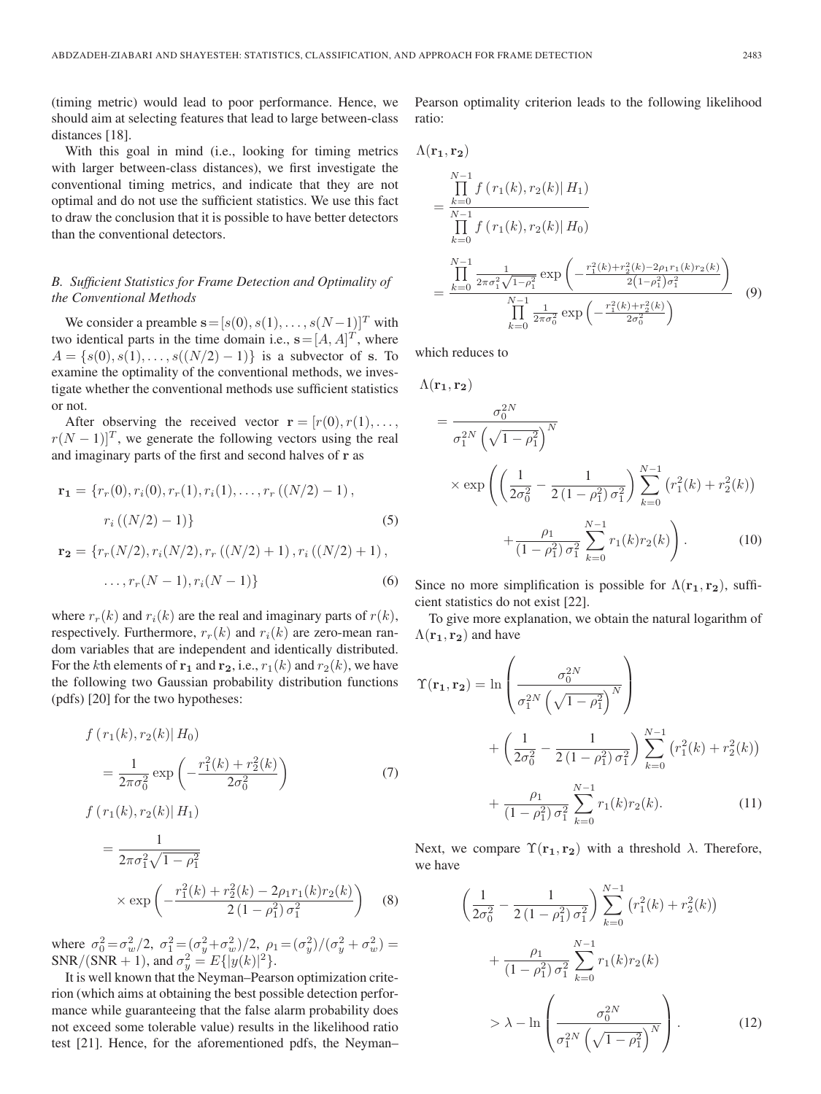(timing metric) would lead to poor performance. Hence, we should aim at selecting features that lead to large between-class distances [18].

With this goal in mind (i.e., looking for timing metrics with larger between-class distances), we first investigate the conventional timing metrics, and indicate that they are not optimal and do not use the sufficient statistics. We use this fact to draw the conclusion that it is possible to have better detectors than the conventional detectors.

# *B. Sufficient Statistics for Frame Detection and Optimality of the Conventional Methods*

We consider a preamble  $\mathbf{s} = [s(0), s(1), \dots, s(N-1)]^T$  with two identical parts in the time domain i.e.,  $\mathbf{s} = [A, A]^T$ , where  $A = \{s(0), s(1), \ldots, s((N/2) - 1)\}\$ is a subvector of **s**. To examine the optimality of the conventional methods, we investigate whether the conventional methods use sufficient statistics or not.

After observing the received vector  $\mathbf{r} = [r(0), r(1), \dots, r]$  $r(N-1)$ <sup>T</sup>, we generate the following vectors using the real and imaginary parts of the first and second halves of **r** as

$$
\mathbf{r_1} = \{r_r(0), r_i(0), r_r(1), r_i(1), \dots, r_r((N/2) - 1),
$$
  

$$
r_i((N/2) - 1)\}
$$
 (5)

$$
\mathbf{r_2} = \{r_r(N/2), r_i(N/2), r_r((N/2) + 1), r_i((N/2) + 1), \dots, r_r(N - 1), r_i(N - 1)\}\
$$
 (6)

where  $r_r(k)$  and  $r_i(k)$  are the real and imaginary parts of  $r(k)$ , respectively. Furthermore,  $r_r(k)$  and  $r_i(k)$  are zero-mean random variables that are independent and identically distributed. For the kth elements of  $\mathbf{r}_1$  and  $\mathbf{r}_2$ , i.e.,  $r_1(k)$  and  $r_2(k)$ , we have the following two Gaussian probability distribution functions (pdfs) [20] for the two hypotheses:

$$
f(r_1(k), r_2(k)|H_0)
$$
  
=  $\frac{1}{2\pi\sigma_0^2} \exp\left(-\frac{r_1^2(k) + r_2^2(k)}{2\sigma_0^2}\right)$  (7)

$$
f(r_1(k), r_2(k)| H_1)
$$
  
= 
$$
\frac{1}{2\pi\sigma_1^2 \sqrt{1 - \rho_1^2}}
$$
  

$$
\times \exp\left(-\frac{r_1^2(k) + r_2^2(k) - 2\rho_1 r_1(k)r_2(k)}{2(1 - \rho_1^2)\sigma_1^2}\right)
$$
(8)

where  $\sigma_0^2 = \sigma_w^2/2$ ,  $\sigma_1^2 = (\sigma_y^2 + \sigma_w^2)/2$ ,  $\rho_1 = (\sigma_y^2)/(\sigma_y^2 + \sigma_w^2) =$ SNR/(SNR + 1), and  $\sigma_y^2 = E{ |y(k)|^2 }$ .

It is well known that the Neyman–Pearson optimization criterion (which aims at obtaining the best possible detection performance while guaranteeing that the false alarm probability does not exceed some tolerable value) results in the likelihood ratio test [21]. Hence, for the aforementioned pdfs, the Neyman–

Pearson optimality criterion leads to the following likelihood ratio:

$$
\Lambda(\mathbf{r_{1}}, \mathbf{r_{2}})
$$
\n
$$
= \frac{\prod_{k=0}^{N-1} f(r_{1}(k), r_{2}(k)| H_{1})}{\prod_{k=0}^{N-1} f(r_{1}(k), r_{2}(k)| H_{0})}
$$
\n
$$
= \frac{\prod_{k=0}^{N-1} \frac{1}{2\pi\sigma_{1}^{2}\sqrt{1-\rho_{1}^{2}}} \exp\left(-\frac{r_{1}^{2}(k)+r_{2}^{2}(k)-2\rho_{1}r_{1}(k)r_{2}(k)}{2(1-\rho_{1}^{2})\sigma_{1}^{2}}\right)}{\prod_{k=0}^{N-1} \frac{1}{2\pi\sigma_{0}^{2}} \exp\left(-\frac{r_{1}^{2}(k)+r_{2}^{2}(k)}{2\sigma_{0}^{2}}\right)} \tag{9}
$$

which reduces to

 $\Lambda(\mathbf{r_1}, \mathbf{r_2})$ 

$$
= \frac{\sigma_0^{2N}}{\sigma_1^{2N} \left(\sqrt{1-\rho_1^2}\right)^N} \times \exp\left(\left(\frac{1}{2\sigma_0^2} - \frac{1}{2\left(1-\rho_1^2\right)\sigma_1^2}\right) \sum_{k=0}^{N-1} \left(r_1^2(k) + r_2^2(k)\right) + \frac{\rho_1}{\left(1-\rho_1^2\right)\sigma_1^2} \sum_{k=0}^{N-1} r_1(k) r_2(k)\right). \tag{10}
$$

Since no more simplification is possible for  $\Lambda(\mathbf{r}_1, \mathbf{r}_2)$ , sufficient statistics do not exist [22].

To give more explanation, we obtain the natural logarithm of  $\Lambda(\mathbf{r_1}, \mathbf{r_2})$  and have

$$
\Upsilon(\mathbf{r_1}, \mathbf{r_2}) = \ln \left( \frac{\sigma_0^{2N}}{\sigma_1^{2N} \left( \sqrt{1 - \rho_1^2} \right)^N} \right) + \left( \frac{1}{2\sigma_0^2} - \frac{1}{2\left(1 - \rho_1^2\right)\sigma_1^2} \right) \sum_{k=0}^{N-1} \left( r_1^2(k) + r_2^2(k) \right) + \frac{\rho_1}{\left(1 - \rho_1^2\right)\sigma_1^2} \sum_{k=0}^{N-1} r_1(k) r_2(k). \tag{11}
$$

Next, we compare  $\Upsilon(\mathbf{r}_1, \mathbf{r}_2)$  with a threshold  $\lambda$ . Therefore, we have

$$
\left(\frac{1}{2\sigma_0^2} - \frac{1}{2(1-\rho_1^2)\sigma_1^2}\right) \sum_{k=0}^{N-1} (r_1^2(k) + r_2^2(k))
$$

$$
+ \frac{\rho_1}{(1-\rho_1^2)\sigma_1^2} \sum_{k=0}^{N-1} r_1(k)r_2(k)
$$

$$
> \lambda - \ln\left(\frac{\sigma_0^{2N}}{\sigma_1^{2N} \left(\sqrt{1-\rho_1^2}\right)^N}\right).
$$
(12)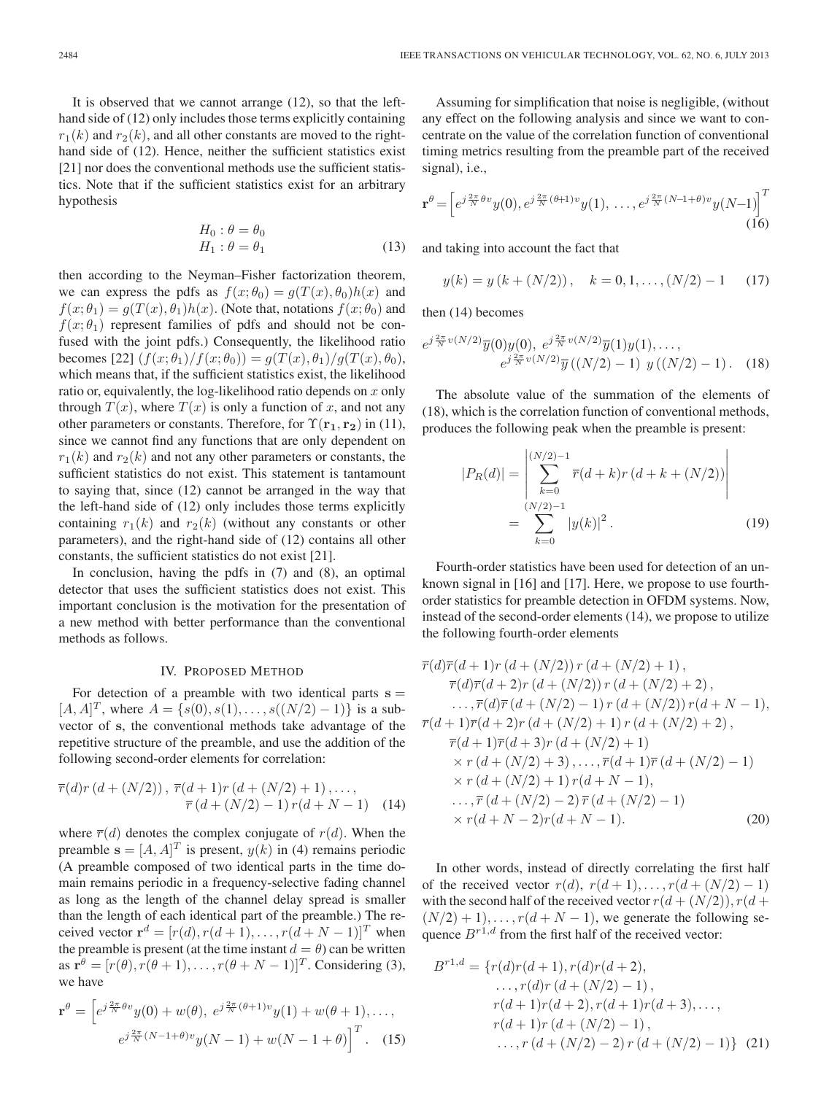It is observed that we cannot arrange (12), so that the lefthand side of (12) only includes those terms explicitly containing  $r_1(k)$  and  $r_2(k)$ , and all other constants are moved to the righthand side of (12). Hence, neither the sufficient statistics exist [21] nor does the conventional methods use the sufficient statistics. Note that if the sufficient statistics exist for an arbitrary hypothesis

$$
H_0: \theta = \theta_0
$$
  
\n
$$
H_1: \theta = \theta_1
$$
\n(13)

then according to the Neyman–Fisher factorization theorem, we can express the pdfs as  $f(x; \theta_0) = g(T(x), \theta_0)h(x)$  and  $f(x; \theta_1) = g(T(x), \theta_1)h(x)$ . (Note that, notations  $f(x; \theta_0)$  and  $f(x; \theta_1)$  represent families of pdfs and should not be confused with the joint pdfs.) Consequently, the likelihood ratio becomes [22]  $(f(x; \theta_1)/f(x; \theta_0)) = g(T(x), \theta_1)/g(T(x), \theta_0),$ which means that, if the sufficient statistics exist, the likelihood ratio or, equivalently, the log-likelihood ratio depends on  $x$  only through  $T(x)$ , where  $T(x)$  is only a function of x, and not any other parameters or constants. Therefore, for  $\Upsilon(\mathbf{r}_1, \mathbf{r}_2)$  in (11), since we cannot find any functions that are only dependent on  $r_1(k)$  and  $r_2(k)$  and not any other parameters or constants, the sufficient statistics do not exist. This statement is tantamount to saying that, since (12) cannot be arranged in the way that the left-hand side of (12) only includes those terms explicitly containing  $r_1(k)$  and  $r_2(k)$  (without any constants or other parameters), and the right-hand side of (12) contains all other constants, the sufficient statistics do not exist [21].

In conclusion, having the pdfs in (7) and (8), an optimal detector that uses the sufficient statistics does not exist. This important conclusion is the motivation for the presentation of a new method with better performance than the conventional methods as follows.

#### IV. PROPOSED METHOD

For detection of a preamble with two identical parts  $s =$  $[A, A]^T$ , where  $A = \{s(0), s(1), \ldots, s((N/2) - 1)\}\$ is a subvector of **s**, the conventional methods take advantage of the repetitive structure of the preamble, and use the addition of the following second-order elements for correlation:

$$
\overline{r}(d)r(d+(N/2)), \ \overline{r}(d+1)r(d+(N/2)+1), \ldots, \n\overline{r}(d+(N/2)-1)r(d+N-1)
$$
 (14)

where  $\overline{r}(d)$  denotes the complex conjugate of  $r(d)$ . When the preamble  $\mathbf{s} = [A, A]^T$  is present,  $y(k)$  in (4) remains periodic (A preamble composed of two identical parts in the time domain remains periodic in a frequency-selective fading channel as long as the length of the channel delay spread is smaller than the length of each identical part of the preamble.) The received vector  ${\bf r}^d = [r(d), r(d+1), \ldots, r(d+N-1)]^T$  when the preamble is present (at the time instant  $d = \theta$ ) can be written as  $\mathbf{r}^{\theta} = [r(\theta), r(\theta+1), \dots, r(\theta+N-1)]^T$ . Considering (3), we have

$$
\mathbf{r}^{\theta} = \left[ e^{j\frac{2\pi}{N}\theta v} y(0) + w(\theta), \ e^{j\frac{2\pi}{N}(\theta+1)v} y(1) + w(\theta+1), \dots, \ e^{j\frac{2\pi}{N}(N-1+\theta)v} y(N-1) + w(N-1+\theta) \right]^T.
$$
 (15)

Assuming for simplification that noise is negligible, (without any effect on the following analysis and since we want to concentrate on the value of the correlation function of conventional timing metrics resulting from the preamble part of the received signal), i.e.,

$$
\mathbf{r}^{\theta} = \left[ e^{j\frac{2\pi}{N}\theta v} y(0), e^{j\frac{2\pi}{N}(\theta+1)v} y(1), \dots, e^{j\frac{2\pi}{N}(N-1+\theta)v} y(N-1) \right]^T
$$
(16)

and taking into account the fact that

$$
y(k) = y (k + (N/2)), \quad k = 0, 1, ..., (N/2) - 1
$$
 (17)

then (14) becomes

$$
e^{j\frac{2\pi}{N}v(N/2)}\overline{y}(0)y(0), e^{j\frac{2\pi}{N}v(N/2)}\overline{y}(1)y(1),..., e^{j\frac{2\pi}{N}v(N/2)}\overline{y}((N/2)-1) y((N/2)-1).
$$
 (18)

The absolute value of the summation of the elements of (18), which is the correlation function of conventional methods, produces the following peak when the preamble is present:

$$
|P_R(d)| = \left| \sum_{k=0}^{(N/2)-1} \overline{r}(d+k)r(d+k+(N/2)) \right|
$$
  
= 
$$
\sum_{k=0}^{(N/2)-1} |y(k)|^2.
$$
 (19)

Fourth-order statistics have been used for detection of an unknown signal in [16] and [17]. Here, we propose to use fourthorder statistics for preamble detection in OFDM systems. Now, instead of the second-order elements (14), we propose to utilize the following fourth-order elements

$$
\overline{r}(d)\overline{r}(d+1)r(d + (N/2))r(d + (N/2) + 1),\n\overline{r}(d)\overline{r}(d+2)r(d + (N/2))r(d + (N/2) + 2),\n\ldots, \overline{r}(d)\overline{r}(d + (N/2) - 1)r(d + (N/2))r(d + N - 1),\n\overline{r}(d+1)\overline{r}(d+2)r(d + (N/2) + 1)r(d + (N/2) + 2),\n\overline{r}(d+1)\overline{r}(d+3)r(d + (N/2) + 1)\n\times r(d + (N/2) + 3),\ldots, \overline{r}(d+1)\overline{r}(d + (N/2) - 1)\n\times r(d + (N/2) + 1)r(d + N - 1),\ldots, \overline{r}(d + (N/2) - 2)\overline{r}(d + (N/2) - 1)\n\times r(d + N - 2)r(d + N - 1).
$$
\n(20)

In other words, instead of directly correlating the first half of the received vector  $r(d)$ ,  $r(d+1)$ , ...,  $r(d+(N/2)-1)$ with the second half of the received vector  $r(d + (N/2))$ ,  $r(d +$  $(N/2) + 1), \ldots, r(d+N-1)$ , we generate the following sequence  $B^{r1,d}$  from the first half of the received vector:

$$
B^{r1,d} = \{r(d)r(d+1), r(d)r(d+2),
$$
  
\n..., r(d)r(d+(N/2) – 1),  
\n
$$
r(d+1)r(d+2), r(d+1)r(d+3),...,
$$
  
\n
$$
r(d+1)r(d+(N/2) – 1),
$$
  
\n..., r(d+(N/2) – 2) r(d+(N/2) – 1)\} (21)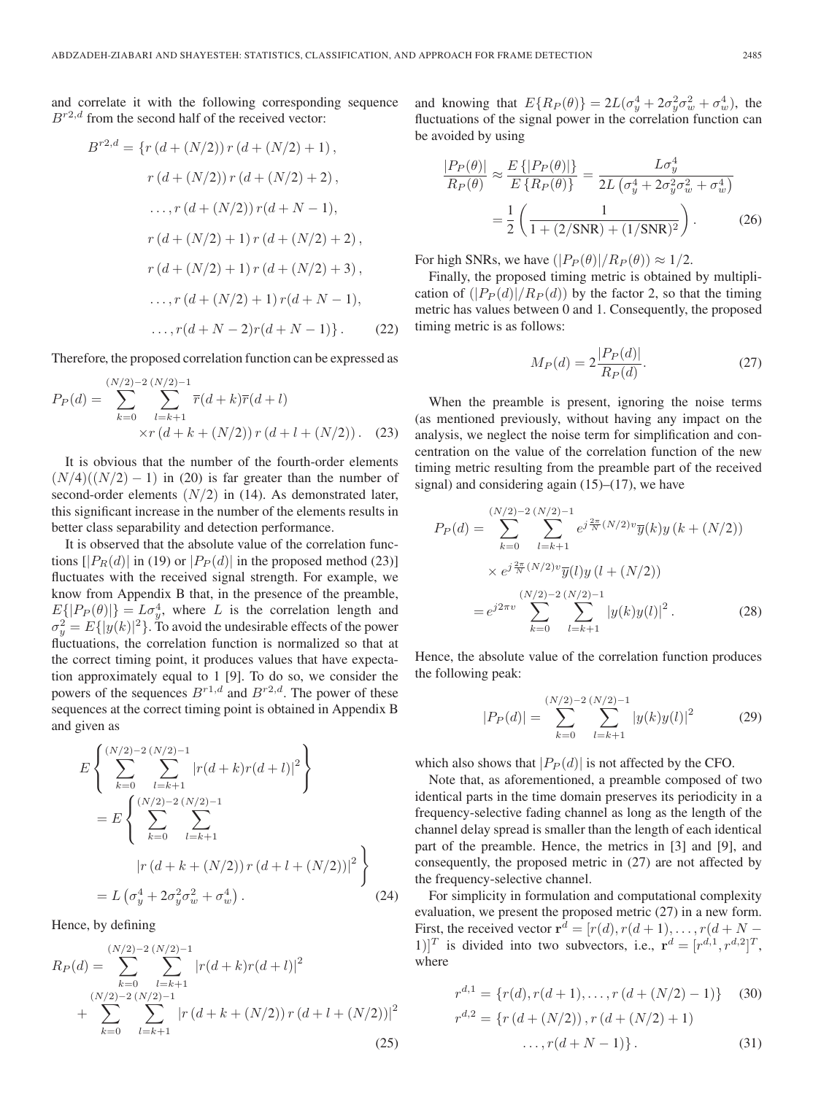and correlate it with the following corresponding sequence  $B^{r2,d}$  from the second half of the received vector:

$$
B^{r2,d} = \{r (d + (N/2)) r (d + (N/2) + 1),
$$
  
\n
$$
r (d + (N/2)) r (d + (N/2) + 2),
$$
  
\n
$$
\dots, r (d + (N/2)) r (d + N - 1),
$$
  
\n
$$
r (d + (N/2) + 1) r (d + (N/2) + 2),
$$
  
\n
$$
r (d + (N/2) + 1) r (d + (N/2) + 3),
$$
  
\n
$$
\dots, r (d + (N/2) + 1) r (d + N - 1),
$$
  
\n
$$
\dots, r (d + N - 2) r (d + N - 1) \}.
$$
 (22)

Therefore, the proposed correlation function can be expressed as

$$
P_P(d) = \sum_{k=0}^{(N/2)-2} \sum_{l=k+1}^{(N/2)-1} \overline{r}(d+k)\overline{r}(d+l)
$$
  
×r (d+k+(N/2)) r (d+l+(N/2)). (23)

It is obvious that the number of the fourth-order elements  $(N/4)((N/2) - 1)$  in (20) is far greater than the number of second-order elements  $(N/2)$  in (14). As demonstrated later, this significant increase in the number of the elements results in better class separability and detection performance.

It is observed that the absolute value of the correlation functions  $[|P_R(d)|$  in (19) or  $|P_P(d)|$  in the proposed method (23)] fluctuates with the received signal strength. For example, we know from Appendix B that, in the presence of the preamble,  $E\{|P_P(\theta)|\}=L\sigma_y^4$ , where L is the correlation length and  $\sigma_y^2 = E\{|y(k)|^2\}$ . To avoid the undesirable effects of the power fluctuations, the correlation function is normalized so that at the correct timing point, it produces values that have expectation approximately equal to 1 [9]. To do so, we consider the powers of the sequences  $B^{r1,d}$  and  $B^{r2,d}$ . The power of these sequences at the correct timing point is obtained in Appendix B and given as

$$
E\left\{\sum_{k=0}^{(N/2)-2} \sum_{l=k+1}^{(N/2)-1} |r(d+k)r(d+l)|^2\right\}
$$
  
= 
$$
E\left\{\sum_{k=0}^{(N/2)-2} \sum_{l=k+1}^{(N/2)-1} |r(d+k+(N/2))|^{2}\right\}
$$
  
= 
$$
L(\sigma_{y}^{4} + 2\sigma_{y}^{2}\sigma_{w}^{2} + \sigma_{w}^{4}).
$$
 (24)

Hence, by defining

$$
R_P(d) = \sum_{k=0}^{(N/2)-2} \sum_{l=k+1}^{(N/2)-1} |r(d+k)r(d+l)|^2
$$
  
+ 
$$
\sum_{k=0}^{(N/2)-2} \sum_{l=k+1}^{(N/2)-1} |r(d+k+(N/2))r(d+l+(N/2))|^2
$$
(25)

and knowing that  $E\{R_P(\theta)\} = 2L(\sigma_y^4 + 2\sigma_y^2 \sigma_w^2 + \sigma_w^4)$ , the fluctuations of the signal power in the correlation function can be avoided by using

$$
\frac{|P_P(\theta)|}{R_P(\theta)} \approx \frac{E\{|P_P(\theta)|\}}{E\{R_P(\theta)\}} = \frac{L\sigma_y^4}{2L\left(\sigma_y^4 + 2\sigma_y^2\sigma_w^2 + \sigma_w^4\right)}
$$

$$
= \frac{1}{2}\left(\frac{1}{1 + (2/\text{SNR}) + (1/\text{SNR})^2}\right). \tag{26}
$$

For high SNRs, we have  $(|P_P(\theta)|/R_P(\theta)) \approx 1/2$ .

Finally, the proposed timing metric is obtained by multiplication of  $(|P_P(d)|/R_P(d))$  by the factor 2, so that the timing metric has values between 0 and 1. Consequently, the proposed timing metric is as follows:

$$
M_P(d) = 2\frac{|P_P(d)|}{R_P(d)}.\t(27)
$$

When the preamble is present, ignoring the noise terms (as mentioned previously, without having any impact on the analysis, we neglect the noise term for simplification and concentration on the value of the correlation function of the new timing metric resulting from the preamble part of the received signal) and considering again  $(15)$ – $(17)$ , we have

$$
P_P(d) = \sum_{k=0}^{(N/2)-2} \sum_{l=k+1}^{(N/2)-1} e^{j\frac{2\pi}{N}(N/2)v} \overline{y}(k) y(k + (N/2))
$$
  
 
$$
\times e^{j\frac{2\pi}{N}(N/2)v} \overline{y}(l) y(l + (N/2))
$$
  

$$
= e^{j2\pi v} \sum_{k=0}^{(N/2)-2} \sum_{l=k+1}^{(N/2)-1} |y(k)y(l)|^2.
$$
 (28)

Hence, the absolute value of the correlation function produces the following peak:

$$
|P_P(d)| = \sum_{k=0}^{(N/2)-2} \sum_{l=k+1}^{(N/2)-1} |y(k)y(l)|^2
$$
 (29)

which also shows that  $|P_P(d)|$  is not affected by the CFO.

Note that, as aforementioned, a preamble composed of two identical parts in the time domain preserves its periodicity in a frequency-selective fading channel as long as the length of the channel delay spread is smaller than the length of each identical part of the preamble. Hence, the metrics in [3] and [9], and consequently, the proposed metric in (27) are not affected by the frequency-selective channel.

For simplicity in formulation and computational complexity evaluation, we present the proposed metric (27) in a new form. First, the received vector  $\mathbf{r}^d = [r(d), r(d+1), \ldots, r(d+N-1)]$ 1)]<sup>T</sup> is divided into two subvectors, i.e.,  $\mathbf{r}^d = [r^{d,1}, r^{d,2}]^T$ , where

$$
r^{d,1} = \{r(d), r(d+1), \dots, r(d + (N/2) - 1)\} \quad (30)
$$
  
\n
$$
r^{d,2} = \{r(d + (N/2)), r(d + (N/2) + 1) \dots, r(d + N - 1)\}.
$$
\n(31)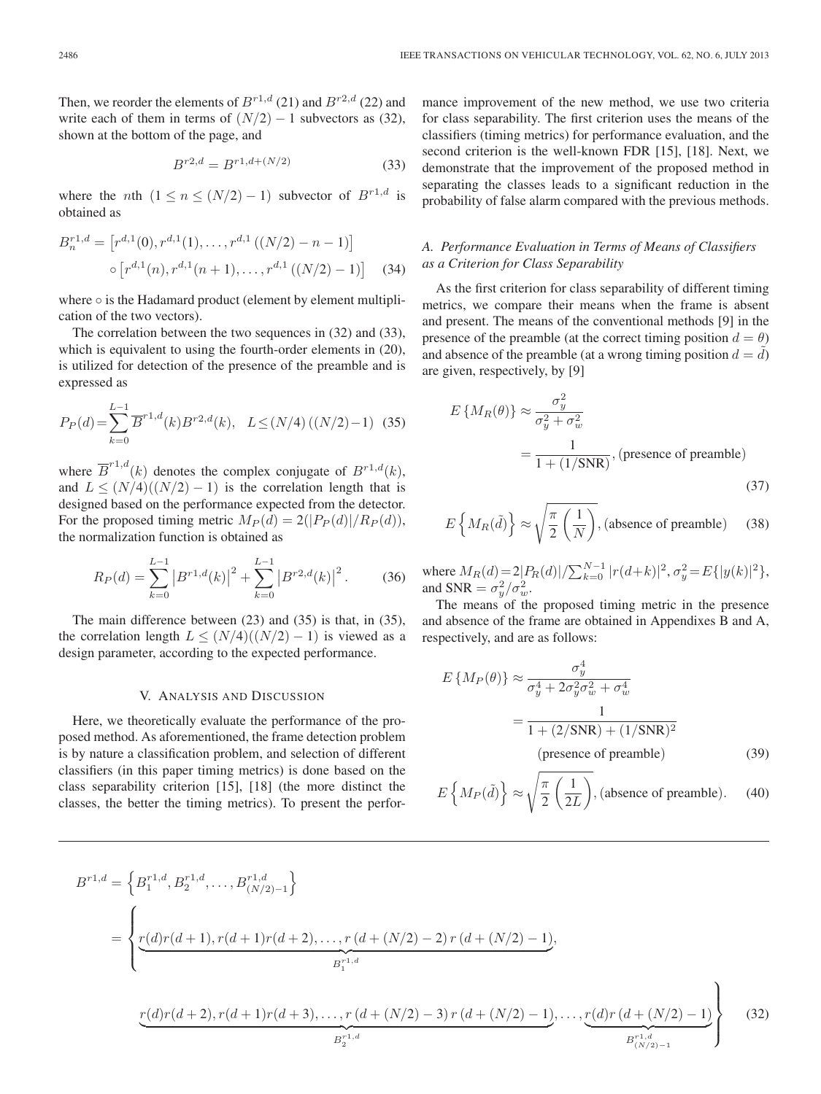Then, we reorder the elements of  $B^{r1,d}$  (21) and  $B^{r2,d}$  (22) and write each of them in terms of  $(N/2) - 1$  subvectors as (32), shown at the bottom of the page, and

$$
B^{r2,d} = B^{r1,d+(N/2)}\tag{33}
$$

where the *n*th  $(1 \le n \le (N/2) - 1)$  subvector of  $B^{r,1}$  is obtained as

$$
B_n^{r1,d} = [r^{d,1}(0), r^{d,1}(1), \dots, r^{d,1}((N/2) - n - 1)]
$$
  
 
$$
\circ [r^{d,1}(n), r^{d,1}(n+1), \dots, r^{d,1}((N/2) - 1)] \quad (34)
$$

where ○ is the Hadamard product (element by element multiplication of the two vectors).

The correlation between the two sequences in (32) and (33), which is equivalent to using the fourth-order elements in (20), is utilized for detection of the presence of the preamble and is expressed as

$$
P_P(d) = \sum_{k=0}^{L-1} \overline{B}^{r1,d}(k) B^{r2,d}(k), \quad L \le (N/4) \left( (N/2) - 1 \right) \tag{35}
$$

where  $\overline{B}^{r1,d}(k)$  denotes the complex conjugate of  $B^{r1,d}(k)$ , and  $L \leq (N/4)((N/2) - 1)$  is the correlation length that is designed based on the performance expected from the detector. For the proposed timing metric  $M_P(d) = 2(|P_P(d)|/R_P(d)),$ the normalization function is obtained as

$$
R_P(d) = \sum_{k=0}^{L-1} |B^{r1,d}(k)|^2 + \sum_{k=0}^{L-1} |B^{r2,d}(k)|^2.
$$
 (36)

The main difference between (23) and (35) is that, in (35), the correlation length  $L \leq (N/4)((N/2) - 1)$  is viewed as a design parameter, according to the expected performance.

#### V. ANALYSIS AND DISCUSSION

Here, we theoretically evaluate the performance of the proposed method. As aforementioned, the frame detection problem is by nature a classification problem, and selection of different classifiers (in this paper timing metrics) is done based on the class separability criterion [15], [18] (the more distinct the classes, the better the timing metrics). To present the performance improvement of the new method, we use two criteria for class separability. The first criterion uses the means of the classifiers (timing metrics) for performance evaluation, and the second criterion is the well-known FDR [15], [18]. Next, we demonstrate that the improvement of the proposed method in separating the classes leads to a significant reduction in the probability of false alarm compared with the previous methods.

# *A. Performance Evaluation in Terms of Means of Classifiers as a Criterion for Class Separability*

As the first criterion for class separability of different timing metrics, we compare their means when the frame is absent and present. The means of the conventional methods [9] in the presence of the preamble (at the correct timing position  $d = \theta$ ) and absence of the preamble (at a wrong timing position  $d = d\tilde{\theta}$ ) are given, respectively, by [9]

$$
E\{M_R(\theta)\} \approx \frac{\sigma_y^2}{\sigma_y^2 + \sigma_w^2}
$$
  
=  $\frac{1}{1 + (1/\text{SNR})}$ , (presence of preamble) (37)

$$
E\left\{M_R(\tilde{d})\right\} \approx \sqrt{\frac{\pi}{2}\left(\frac{1}{N}\right)}, \text{(absence of preample)}\tag{38}
$$

where  $M_R(d) = 2|P_R(d)| / \sum_{k=0}^{N-1} |r(d+k)|^2$ ,  $\sigma_y^2 = E\{|y(k)|^2\}$ , and SNR =  $\sigma_y^2/\sigma_w^2$ .

The means of the proposed timing metric in the presence and absence of the frame are obtained in Appendixes B and A, respectively, and are as follows:

$$
E\{M_P(\theta)\} \approx \frac{\sigma_y^4}{\sigma_y^4 + 2\sigma_y^2 \sigma_w^2 + \sigma_w^4}
$$

$$
= \frac{1}{1 + (2/\text{SNR}) + (1/\text{SNR})^2}
$$
(presence of preamble) (39)

$$
E\left\{M_P(\tilde{d})\right\} \approx \sqrt{\frac{\pi}{2}\left(\frac{1}{2L}\right)}, \text{ (absence of preample).} \tag{40}
$$

 $R^{r1,d}$  $B^{r1,d}_{\ell N}$  $(N/2)-1$ 

 $\int$ 

$$
B^{r1,d} = \left\{ B_1^{r1,d}, B_2^{r1,d}, \dots, B_{(N/2)-1}^{r1,d} \right\}
$$
  
= 
$$
\left\{ \underbrace{r(d)r(d+1), r(d+1)r(d+2), \dots, r(d+(N/2)-2) r(d+(N/2)-1)}_{B_1^{r1,d}},
$$
  

$$
r(d)r(d+2), r(d+1)r(d+3), \dots, r(d+(N/2)-3) r(d+(N/2)-1), \dots, r(d)r(d+(N/2)-1) \right\}
$$
(32)

 $\overbrace{R^{r1,d}}$  $B_2^{r1,d}$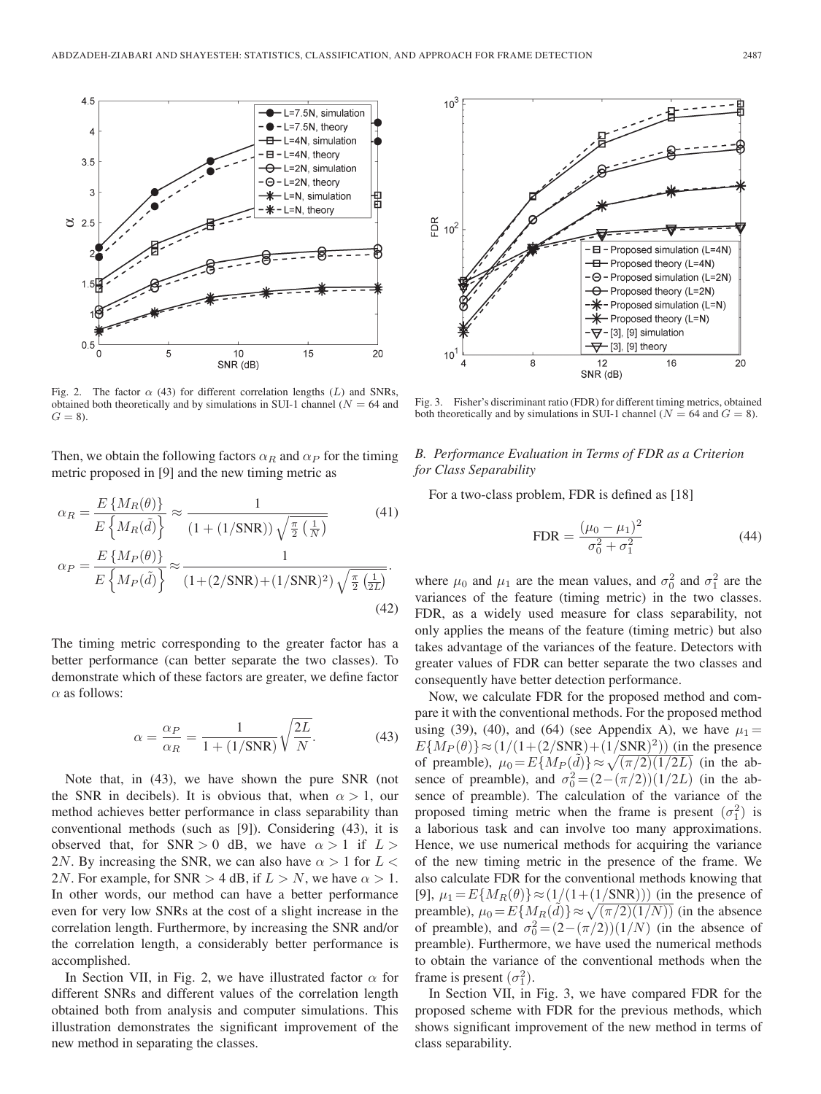

Fig. 2. The factor  $\alpha$  (43) for different correlation lengths (L) and SNRs, obtained both theoretically and by simulations in SUI-1 channel ( $N = 64$  and  $G = 8$ ).

Then, we obtain the following factors  $\alpha_R$  and  $\alpha_P$  for the timing metric proposed in [9] and the new timing metric as

$$
\alpha_R = \frac{E\left\{M_R(\theta)\right\}}{E\left\{M_R(\tilde{d})\right\}} \approx \frac{1}{\left(1 + \left(1/\text{SNR}\right)\right)\sqrt{\frac{\pi}{2}\left(\frac{1}{N}\right)}}\tag{41}
$$

$$
\alpha_P = \frac{E\left\{M_P(\theta)\right\}}{E\left\{M_P(\tilde{d})\right\}} \approx \frac{1}{\left(1 + \left(2/\text{SNR}\right) + \left(1/\text{SNR}\right)^2\right)\sqrt{\frac{\pi}{2}}\left(\frac{1}{2L}\right)}.
$$
\n(42)

The timing metric corresponding to the greater factor has a better performance (can better separate the two classes). To demonstrate which of these factors are greater, we define factor  $\alpha$  as follows:

$$
\alpha = \frac{\alpha_P}{\alpha_R} = \frac{1}{1 + (1/\text{SNR})} \sqrt{\frac{2L}{N}}.
$$
 (43)

Note that, in (43), we have shown the pure SNR (not the SNR in decibels). It is obvious that, when  $\alpha > 1$ , our method achieves better performance in class separability than conventional methods (such as [9]). Considering (43), it is observed that, for SNR  $> 0$  dB, we have  $\alpha > 1$  if  $L >$ 2N. By increasing the SNR, we can also have  $\alpha > 1$  for  $L <$ 2N. For example, for SNR  $>$  4 dB, if  $L > N$ , we have  $\alpha > 1$ . In other words, our method can have a better performance even for very low SNRs at the cost of a slight increase in the correlation length. Furthermore, by increasing the SNR and/or the correlation length, a considerably better performance is accomplished.

In Section VII, in Fig. 2, we have illustrated factor  $\alpha$  for different SNRs and different values of the correlation length obtained both from analysis and computer simulations. This illustration demonstrates the significant improvement of the new method in separating the classes.



Fig. 3. Fisher's discriminant ratio (FDR) for different timing metrics, obtained both theoretically and by simulations in SUI-1 channel ( $N = 64$  and  $G = 8$ ).

# *B. Performance Evaluation in Terms of FDR as a Criterion for Class Separability*

For a two-class problem, FDR is defined as [18]

FDR = 
$$
\frac{(\mu_0 - \mu_1)^2}{\sigma_0^2 + \sigma_1^2}
$$
 (44)

where  $\mu_0$  and  $\mu_1$  are the mean values, and  $\sigma_0^2$  and  $\sigma_1^2$  are the variances of the feature (timing metric) in the two classes. FDR, as a widely used measure for class separability, not only applies the means of the feature (timing metric) but also takes advantage of the variances of the feature. Detectors with greater values of FDR can better separate the two classes and consequently have better detection performance.

Now, we calculate FDR for the proposed method and compare it with the conventional methods. For the proposed method using (39), (40), and (64) (see Appendix A), we have  $\mu_1 =$  $E\{M_P(\theta)\}\approx (1/(1+(2/SNR)+(1/SNR)^2))$  (in the presence of preamble),  $\mu_0 = E\{M_P(\tilde{d})\} \approx \sqrt{(\pi/2)(1/2L)}$  (in the absence of preamble), and  $\sigma_0^2 = (2 - (\pi/2))(1/2L)$  (in the absence of preamble). The calculation of the variance of the proposed timing metric when the frame is present  $(\sigma_1^2)$  is a laborious task and can involve too many approximations. Hence, we use numerical methods for acquiring the variance of the new timing metric in the presence of the frame. We also calculate FDR for the conventional methods knowing that [9],  $\mu_1 = E\{M_R(\theta)\} \approx (1/(1+(1/SNR)))$  (in the presence of preamble),  $\mu_0 = E\{M_R(\tilde{d})\} \approx \sqrt{(\pi/2)(1/N)}$  (in the absence of preamble), and  $\sigma_0^2 = (2 - (\pi/2))(1/N)$  (in the absence of preamble). Furthermore, we have used the numerical methods to obtain the variance of the conventional methods when the frame is present  $(\sigma_1^2)$ .

In Section VII, in Fig. 3, we have compared FDR for the proposed scheme with FDR for the previous methods, which shows significant improvement of the new method in terms of class separability.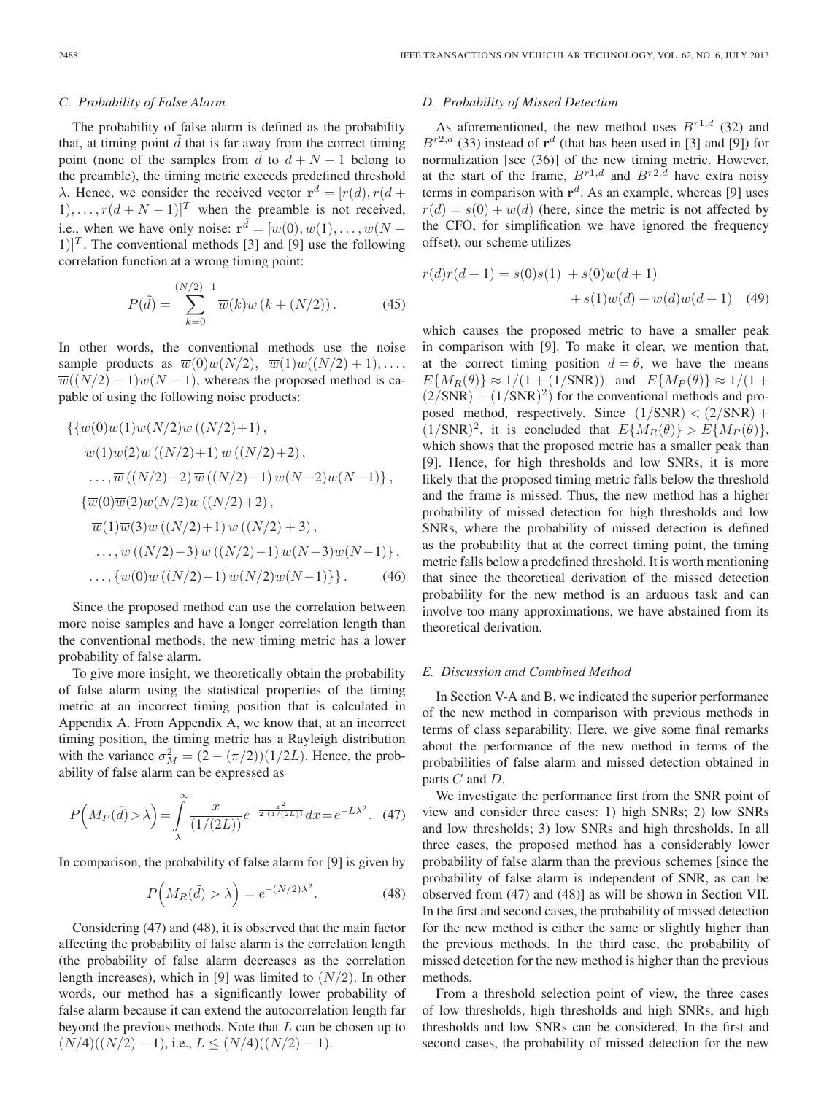## *C. Probability of False Alarm*

The probability of false alarm is defined as the probability that, at timing point  $\tilde{d}$  that is far away from the correct timing point (none of the samples from  $\tilde{d}$  to  $\tilde{d} + N - 1$  belong to the preamble), the timing metric exceeds predefined threshold  $\lambda$ . Hence, we consider the received vector  ${\bf r}^d = [r(d), r(d +$ 1),..., $r(d+N-1)$ <sup>T</sup> when the preamble is not received, i.e., when we have only noise:  $\mathbf{r}^{\tilde{d}} = [w(0), w(1), \dots, w(N [1]$ <sup>T</sup>. The conventional methods [3] and [9] use the following correlation function at a wrong timing point:

$$
P(\tilde{d}) = \sum_{k=0}^{(N/2)-1} \overline{w}(k)w(k + (N/2)).
$$
 (45)

In other words, the conventional methods use the noise sample products as  $\overline{w}(0)w(N/2), \overline{w}(1)w((N/2) + 1), \ldots,$  $\overline{w}((N/2) - 1)w(N - 1)$ , whereas the proposed method is capable of using the following noise products:

$$
\{\overline{w}(0)\overline{w}(1)w(N/2)w((N/2)+1),\overline{w}(1)\overline{w}(2)w((N/2)+1)w((N/2)+2),\dots,\overline{w}((N/2)-2)\overline{w}((N/2)-1)w(N-2)w(N-1)\},\{\overline{w}(0)\overline{w}(2)w(N/2)w((N/2)+2),\overline{w}(1)\overline{w}(3)w((N/2)+1)w((N/2)+3),\dots,\overline{w}((N/2)-3)\overline{w}((N/2)-1)w(N-3)w(N-1)\},\dots,\{\overline{w}(0)\overline{w}((N/2)-1)w(N/2)w(N-1)\}.
$$
\n(46)

Since the proposed method can use the correlation between more noise samples and have a longer correlation length than the conventional methods, the new timing metric has a lower probability of false alarm.

To give more insight, we theoretically obtain the probability of false alarm using the statistical properties of the timing metric at an incorrect timing position that is calculated in Appendix A. From Appendix A, we know that, at an incorrect timing position, the timing metric has a Rayleigh distribution with the variance  $\sigma_M^2 = (2 - (\pi/2))(1/2L)$ . Hence, the probability of false alarm can be expressed as

$$
P\left(M_P(\tilde{d}) > \lambda\right) = \int_{\lambda}^{\infty} \frac{x}{(1/(2L))} e^{-\frac{x^2}{2\ (1/(2L))}} dx = e^{-L\lambda^2}.
$$
 (47)

In comparison, the probability of false alarm for [9] is given by

$$
P\Big(M_R(\tilde{d}) > \lambda\Big) = e^{-(N/2)\lambda^2}.\tag{48}
$$

Considering (47) and (48), it is observed that the main factor affecting the probability of false alarm is the correlation length (the probability of false alarm decreases as the correlation length increases), which in [9] was limited to  $(N/2)$ . In other words, our method has a significantly lower probability of false alarm because it can extend the autocorrelation length far beyond the previous methods. Note that  $L$  can be chosen up to  $(N/4)((N/2) - 1)$ , i.e.,  $L \leq (N/4)((N/2) - 1)$ .

## *D. Probability of Missed Detection*

As aforementioned, the new method uses  $B^{r1,d}$  (32) and  $B^{r^2,d}$  (33) instead of  $r^d$  (that has been used in [3] and [9]) for normalization [see (36)] of the new timing metric. However, at the start of the frame,  $B^{r1,d}$  and  $B^{r2,d}$  have extra noisy terms in comparison with  $r^d$ . As an example, whereas [9] uses  $r(d) = s(0) + w(d)$  (here, since the metric is not affected by the CFO, for simplification we have ignored the frequency offset), our scheme utilizes

$$
r(d)r(d+1) = s(0)s(1) + s(0)w(d+1)
$$
  
+ s(1)w(d) + w(d)w(d+1) (49)

which causes the proposed metric to have a smaller peak in comparison with [9]. To make it clear, we mention that, at the correct timing position  $d = \theta$ , we have the means  $E\{M_R(\theta)\}\approx 1/(1+(1/\text{SNR}))$  and  $E\{M_P(\theta)\}\approx 1/(1+\frac{1}{\sqrt{2}})$  $(2/SNR) + (1/SNR)^2$  for the conventional methods and proposed method, respectively. Since  $(1/SNR) < (2/SNR) +$  $(1/\text{SNR})^2$ , it is concluded that  $E\{M_B(\theta)\} > E\{M_P(\theta)\},$ which shows that the proposed metric has a smaller peak than [9]. Hence, for high thresholds and low SNRs, it is more likely that the proposed timing metric falls below the threshold and the frame is missed. Thus, the new method has a higher probability of missed detection for high thresholds and low SNRs, where the probability of missed detection is defined as the probability that at the correct timing point, the timing metric falls below a predefined threshold. It is worth mentioning that since the theoretical derivation of the missed detection probability for the new method is an arduous task and can involve too many approximations, we have abstained from its theoretical derivation.

## *E. Discussion and Combined Method*

In Section V-A and B, we indicated the superior performance of the new method in comparison with previous methods in terms of class separability. Here, we give some final remarks about the performance of the new method in terms of the probabilities of false alarm and missed detection obtained in parts C and D.

We investigate the performance first from the SNR point of view and consider three cases: 1) high SNRs; 2) low SNRs and low thresholds; 3) low SNRs and high thresholds. In all three cases, the proposed method has a considerably lower probability of false alarm than the previous schemes [since the probability of false alarm is independent of SNR, as can be observed from (47) and (48)] as will be shown in Section VII. In the first and second cases, the probability of missed detection for the new method is either the same or slightly higher than the previous methods. In the third case, the probability of missed detection for the new method is higher than the previous methods.

From a threshold selection point of view, the three cases of low thresholds, high thresholds and high SNRs, and high thresholds and low SNRs can be considered, In the first and second cases, the probability of missed detection for the new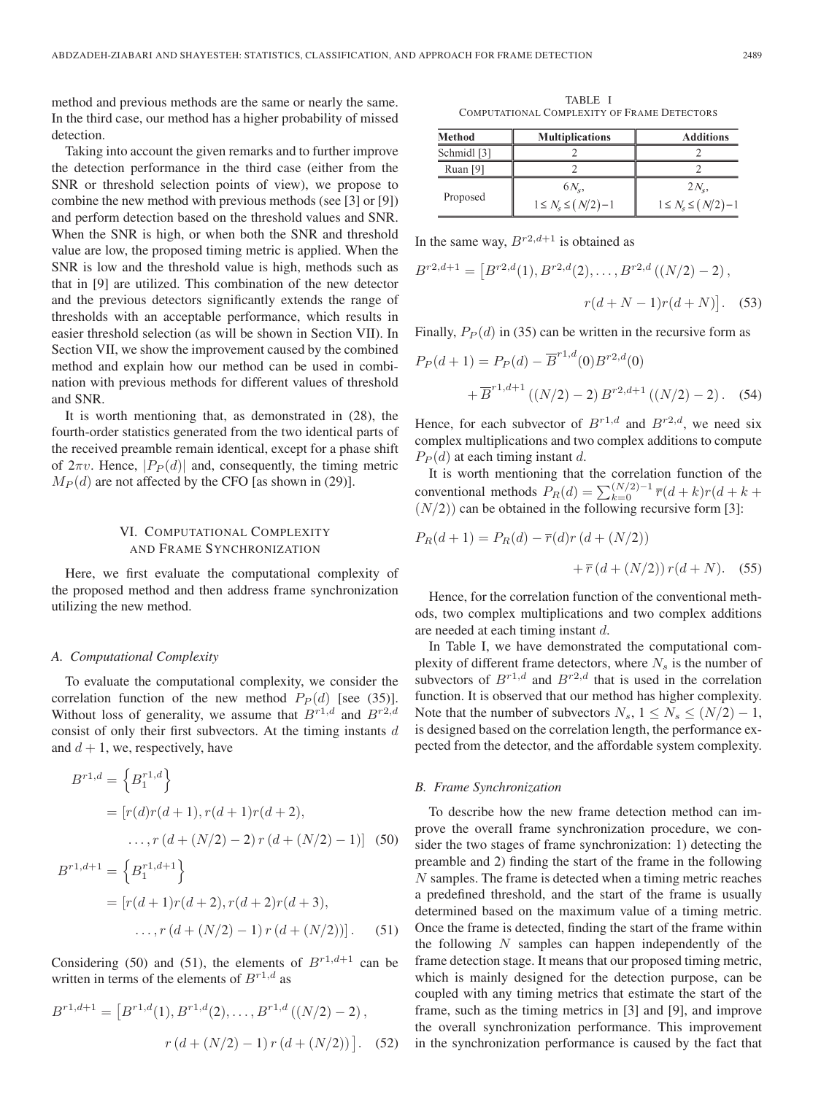method and previous methods are the same or nearly the same. In the third case, our method has a higher probability of missed detection.

Taking into account the given remarks and to further improve the detection performance in the third case (either from the SNR or threshold selection points of view), we propose to combine the new method with previous methods (see [3] or [9]) and perform detection based on the threshold values and SNR. When the SNR is high, or when both the SNR and threshold value are low, the proposed timing metric is applied. When the SNR is low and the threshold value is high, methods such as that in [9] are utilized. This combination of the new detector and the previous detectors significantly extends the range of thresholds with an acceptable performance, which results in easier threshold selection (as will be shown in Section VII). In Section VII, we show the improvement caused by the combined method and explain how our method can be used in combination with previous methods for different values of threshold and SNR.

It is worth mentioning that, as demonstrated in (28), the fourth-order statistics generated from the two identical parts of the received preamble remain identical, except for a phase shift of  $2\pi v$ . Hence,  $|P_P(d)|$  and, consequently, the timing metric  $M_P(d)$  are not affected by the CFO [as shown in (29)].

# VI. COMPUTATIONAL COMPLEXITY AND FRAME SYNCHRONIZATION

Here, we first evaluate the computational complexity of the proposed method and then address frame synchronization utilizing the new method.

#### *A. Computational Complexity*

To evaluate the computational complexity, we consider the correlation function of the new method  $P_P(d)$  [see (35)]. Without loss of generality, we assume that  $B^{r1,d}$  and  $B^{r2,d}$ consist of only their first subvectors. At the timing instants  $d$ and  $d + 1$ , we, respectively, have

$$
B^{r1,d} = \left\{ B_1^{r1,d} \right\}
$$
  
=  $[r(d)r(d+1), r(d+1)r(d+2),$   
...,  $r(d + (N/2) - 2) r(d + (N/2) - 1)]$  (50)

$$
B^{r1,d+1} = \left\{ B_1^{r1,d+1} \right\}
$$
  
=  $[r(d+1)r(d+2), r(d+2)r(d+3),$   
...,  $r(d+(N/2)-1) r(d+(N/2))]$ . (51)

Considering (50) and (51), the elements of  $B^{r1,d+1}$  can be written in terms of the elements of  $B^{r1,d}$  as

$$
B^{r1,d+1} = [B^{r1,d}(1), B^{r1,d}(2), \dots, B^{r1,d}((N/2) - 2),
$$

$$
r(d + (N/2) - 1) r(d + (N/2))].
$$
 (52)

TABLE I COMPUTATIONAL COMPLEXITY OF FRAME DETECTORS

| Method                 | <b>Multiplications</b>                     | <b>Additions</b>                                  |
|------------------------|--------------------------------------------|---------------------------------------------------|
| Schmidl <sup>[3]</sup> |                                            |                                                   |
| Ruan <sup>[9]</sup>    |                                            |                                                   |
| Proposed               | 6N <sub>e</sub><br>$1 \le N_s \le (N/2)-1$ | $2N_{\rm e}$<br>$1 \leq N_{\rm s} \leq (N/2) - 1$ |

In the same way,  $B^{r^2, d+1}$  is obtained as

$$
B^{r2,d+1} = [B^{r2,d}(1), B^{r2,d}(2), \dots, B^{r2,d}((N/2) - 2),
$$

$$
r(d+N-1)r(d+N)].
$$
 (53)

Finally,  $P_P(d)$  in (35) can be written in the recursive form as

$$
P_P(d+1) = P_P(d) - \overline{B}^{r1,d}(0) B^{r2,d}(0)
$$

$$
+ \overline{B}^{r1,d+1} ((N/2) - 2) B^{r2,d+1} ((N/2) - 2).
$$
 (54)

Hence, for each subvector of  $B^{r1,d}$  and  $B^{r2,d}$ , we need six complex multiplications and two complex additions to compute  $P_P(d)$  at each timing instant d.

It is worth mentioning that the correlation function of the conventional methods  $P_R(d) = \sum_{k=0}^{(N/2)-1} \overline{r}(d+k)r(d+k+1)$  $(N/2)$ ) can be obtained in the following recursive form [3]:

$$
P_R(d+1) = P_R(d) - \overline{r}(d)r(d + (N/2))
$$

$$
+ \overline{r}(d + (N/2))r(d + N). \quad (55)
$$

Hence, for the correlation function of the conventional methods, two complex multiplications and two complex additions are needed at each timing instant d.

In Table I, we have demonstrated the computational complexity of different frame detectors, where  $N_s$  is the number of subvectors of  $B^{r1,d}$  and  $B^{r2,d}$  that is used in the correlation function. It is observed that our method has higher complexity. Note that the number of subvectors  $N_s$ ,  $1 \le N_s \le (N/2) - 1$ , is designed based on the correlation length, the performance expected from the detector, and the affordable system complexity.

#### *B. Frame Synchronization*

To describe how the new frame detection method can improve the overall frame synchronization procedure, we consider the two stages of frame synchronization: 1) detecting the preamble and 2) finding the start of the frame in the following N samples. The frame is detected when a timing metric reaches a predefined threshold, and the start of the frame is usually determined based on the maximum value of a timing metric. Once the frame is detected, finding the start of the frame within the following  $N$  samples can happen independently of the frame detection stage. It means that our proposed timing metric, which is mainly designed for the detection purpose, can be coupled with any timing metrics that estimate the start of the frame, such as the timing metrics in [3] and [9], and improve the overall synchronization performance. This improvement in the synchronization performance is caused by the fact that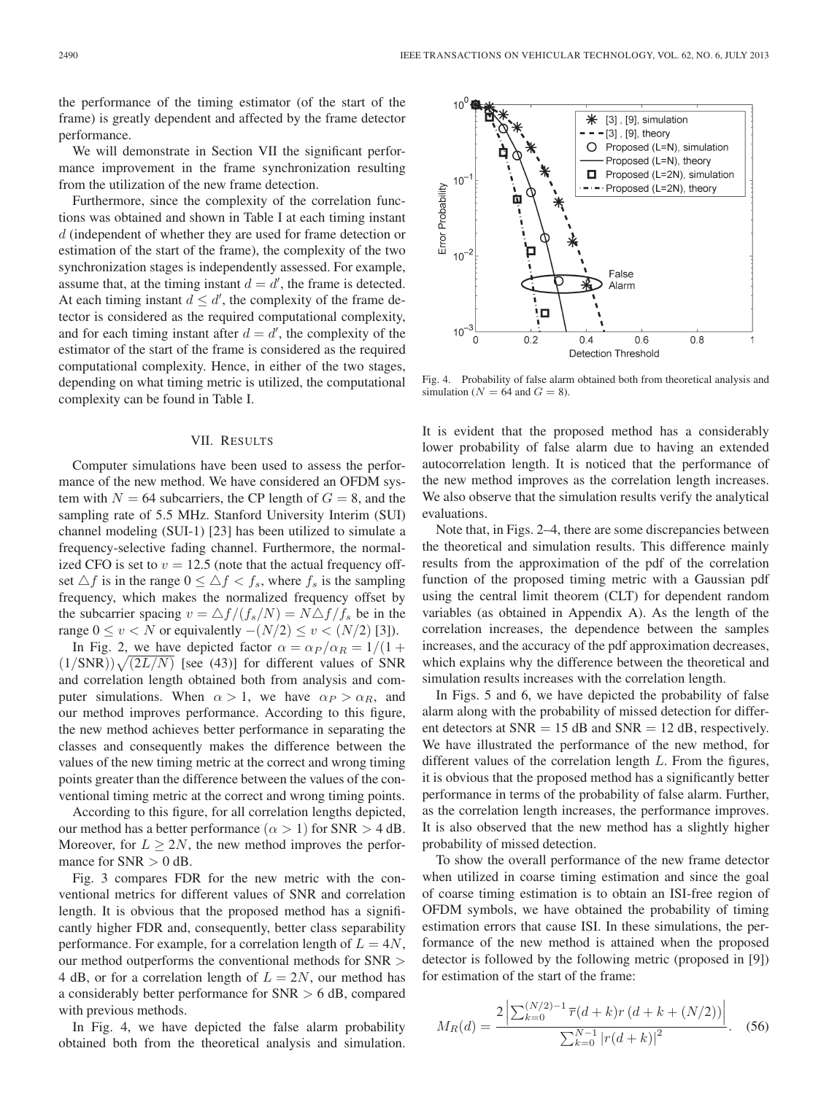the performance of the timing estimator (of the start of the frame) is greatly dependent and affected by the frame detector performance.

We will demonstrate in Section VII the significant performance improvement in the frame synchronization resulting from the utilization of the new frame detection.

Furthermore, since the complexity of the correlation functions was obtained and shown in Table I at each timing instant d (independent of whether they are used for frame detection or estimation of the start of the frame), the complexity of the two synchronization stages is independently assessed. For example, assume that, at the timing instant  $d = d'$ , the frame is detected. At each timing instant  $d \leq d'$ , the complexity of the frame detector is considered as the required computational complexity, and for each timing instant after  $d = d'$ , the complexity of the estimator of the start of the frame is considered as the required computational complexity. Hence, in either of the two stages, depending on what timing metric is utilized, the computational complexity can be found in Table I.

## VII. RESULTS

Computer simulations have been used to assess the performance of the new method. We have considered an OFDM system with  $N = 64$  subcarriers, the CP length of  $G = 8$ , and the sampling rate of 5.5 MHz. Stanford University Interim (SUI) channel modeling (SUI-1) [23] has been utilized to simulate a frequency-selective fading channel. Furthermore, the normalized CFO is set to  $v = 12.5$  (note that the actual frequency offset  $\triangle f$  is in the range  $0 \leq \triangle f < f_s$ , where  $f_s$  is the sampling frequency, which makes the normalized frequency offset by the subcarrier spacing  $v = \Delta f / (f_s/N) = N \Delta f / f_s$  be in the range  $0 \le v < N$  or equivalently  $-(N/2) \le v < (N/2)$  [3]).

In Fig. 2, we have depicted factor  $\alpha = \alpha_P / \alpha_R = 1/(1 +$  $(1/SNR)\sqrt{(2L/N)}$  [see (43)] for different values of SNR and correlation length obtained both from analysis and computer simulations. When  $\alpha > 1$ , we have  $\alpha_P > \alpha_R$ , and our method improves performance. According to this figure, the new method achieves better performance in separating the classes and consequently makes the difference between the values of the new timing metric at the correct and wrong timing points greater than the difference between the values of the conventional timing metric at the correct and wrong timing points.

According to this figure, for all correlation lengths depicted, our method has a better performance  $(\alpha > 1)$  for SNR  $> 4$  dB. Moreover, for  $L > 2N$ , the new method improves the performance for  $SNR > 0$  dB.

Fig. 3 compares FDR for the new metric with the conventional metrics for different values of SNR and correlation length. It is obvious that the proposed method has a significantly higher FDR and, consequently, better class separability performance. For example, for a correlation length of  $L = 4N$ , our method outperforms the conventional methods for SNR > 4 dB, or for a correlation length of  $L = 2N$ , our method has a considerably better performance for SNR > 6 dB, compared with previous methods.

In Fig. 4, we have depicted the false alarm probability obtained both from the theoretical analysis and simulation.



Fig. 4. Probability of false alarm obtained both from theoretical analysis and simulation ( $N = 64$  and  $G = 8$ ).

It is evident that the proposed method has a considerably lower probability of false alarm due to having an extended autocorrelation length. It is noticed that the performance of the new method improves as the correlation length increases. We also observe that the simulation results verify the analytical evaluations.

Note that, in Figs. 2–4, there are some discrepancies between the theoretical and simulation results. This difference mainly results from the approximation of the pdf of the correlation function of the proposed timing metric with a Gaussian pdf using the central limit theorem (CLT) for dependent random variables (as obtained in Appendix A). As the length of the correlation increases, the dependence between the samples increases, and the accuracy of the pdf approximation decreases, which explains why the difference between the theoretical and simulation results increases with the correlation length.

In Figs. 5 and 6, we have depicted the probability of false alarm along with the probability of missed detection for different detectors at  $SNR = 15$  dB and  $SNR = 12$  dB, respectively. We have illustrated the performance of the new method, for different values of the correlation length L. From the figures, it is obvious that the proposed method has a significantly better performance in terms of the probability of false alarm. Further, as the correlation length increases, the performance improves. It is also observed that the new method has a slightly higher probability of missed detection.

To show the overall performance of the new frame detector when utilized in coarse timing estimation and since the goal of coarse timing estimation is to obtain an ISI-free region of OFDM symbols, we have obtained the probability of timing estimation errors that cause ISI. In these simulations, the performance of the new method is attained when the proposed detector is followed by the following metric (proposed in [9]) for estimation of the start of the frame:

$$
M_R(d) = \frac{2\left|\sum_{k=0}^{(N/2)-1} \overline{r}(d+k)r(d+k+(N/2))\right|}{\sum_{k=0}^{N-1} |r(d+k)|^2}.
$$
 (56)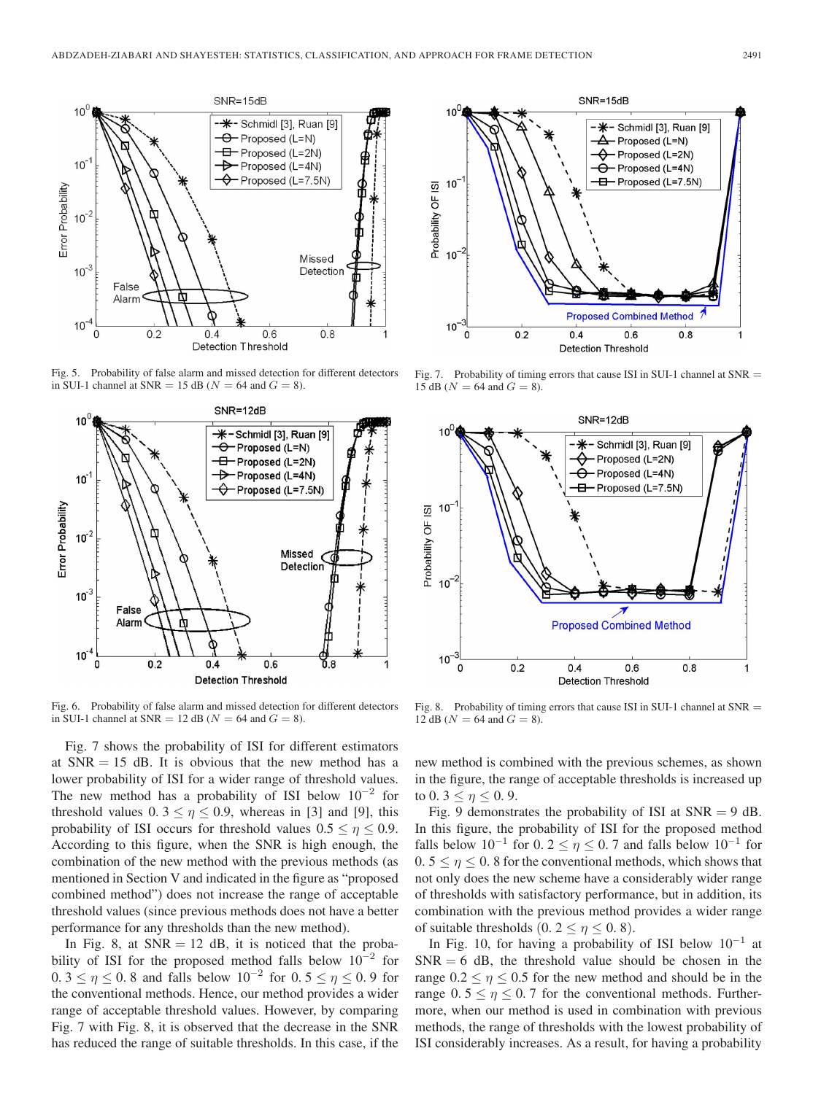

Fig. 5. Probability of false alarm and missed detection for different detectors in SUI-1 channel at SNR = 15 dB ( $N = 64$  and  $G = 8$ ).



Fig. 6. Probability of false alarm and missed detection for different detectors in SUI-1 channel at SNR = 12 dB ( $N = 64$  and  $G = 8$ ).

Fig. 7 shows the probability of ISI for different estimators at  $SNR = 15$  dB. It is obvious that the new method has a lower probability of ISI for a wider range of threshold values. The new method has a probability of ISI below  $10^{-2}$  for threshold values  $0.3 \le \eta \le 0.9$ , whereas in [3] and [9], this probability of ISI occurs for threshold values  $0.5 \le \eta \le 0.9$ . According to this figure, when the SNR is high enough, the combination of the new method with the previous methods (as mentioned in Section V and indicated in the figure as "proposed combined method") does not increase the range of acceptable threshold values (since previous methods does not have a better performance for any thresholds than the new method).

In Fig. 8, at  $SNR = 12$  dB, it is noticed that the probability of ISI for the proposed method falls below 10<sup>−</sup><sup>2</sup> for  $0.3 \le \eta \le 0.8$  and falls below  $10^{-2}$  for  $0.5 \le \eta \le 0.9$  for the conventional methods. Hence, our method provides a wider range of acceptable threshold values. However, by comparing Fig. 7 with Fig. 8, it is observed that the decrease in the SNR has reduced the range of suitable thresholds. In this case, if the



Fig. 7. Probability of timing errors that cause ISI in SUI-1 channel at  $SNR =$ 15 dB ( $N = 64$  and  $G = 8$ ).



Fig. 8. Probability of timing errors that cause ISI in SUI-1 channel at  $SNR =$ 12 dB ( $N = 64$  and  $G = 8$ ).

new method is combined with the previous schemes, as shown in the figure, the range of acceptable thresholds is increased up to 0.  $3 \leq \eta \leq 0.9$ .

Fig. 9 demonstrates the probability of ISI at  $SNR = 9$  dB. In this figure, the probability of ISI for the proposed method falls below  $10^{-1}$  for 0. 2  $\leq \eta \leq 0.7$  and falls below  $10^{-1}$  for  $0.5 \leq \eta \leq 0.8$  for the conventional methods, which shows that not only does the new scheme have a considerably wider range of thresholds with satisfactory performance, but in addition, its combination with the previous method provides a wider range of suitable thresholds  $(0.2 \le \eta \le 0.8)$ .

In Fig. 10, for having a probability of ISI below 10<sup>−</sup><sup>1</sup> at  $SNR = 6$  dB, the threshold value should be chosen in the range  $0.2 \le \eta \le 0.5$  for the new method and should be in the range  $0.5 \le \eta \le 0.7$  for the conventional methods. Furthermore, when our method is used in combination with previous methods, the range of thresholds with the lowest probability of ISI considerably increases. As a result, for having a probability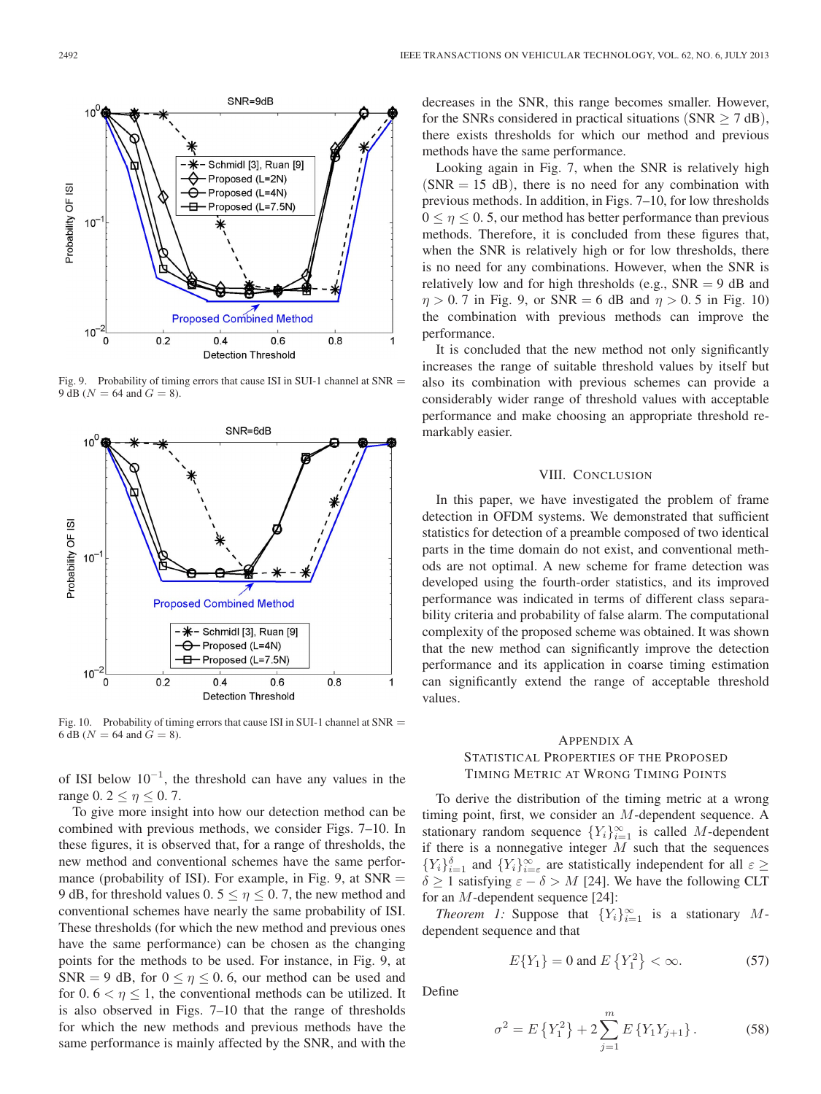

Fig. 9. Probability of timing errors that cause ISI in SUI-1 channel at SNR = 9 dB ( $N = 64$  and  $G = 8$ ).



Fig. 10. Probability of timing errors that cause ISI in SUI-1 channel at  $SNR =$ 6 dB ( $N = 64$  and  $G = 8$ ).

of ISI below  $10^{-1}$ , the threshold can have any values in the range 0.  $2 \leq \eta \leq 0.7$ .

To give more insight into how our detection method can be combined with previous methods, we consider Figs. 7–10. In these figures, it is observed that, for a range of thresholds, the new method and conventional schemes have the same performance (probability of ISI). For example, in Fig. 9, at  $SNR =$ 9 dB, for threshold values 0.  $5 \le \eta \le 0$ . 7, the new method and conventional schemes have nearly the same probability of ISI. These thresholds (for which the new method and previous ones have the same performance) can be chosen as the changing points for the methods to be used. For instance, in Fig. 9, at SNR = 9 dB, for  $0 \le \eta \le 0$ . 6, our method can be used and for 0.  $6 < \eta \leq 1$ , the conventional methods can be utilized. It is also observed in Figs. 7–10 that the range of thresholds for which the new methods and previous methods have the same performance is mainly affected by the SNR, and with the decreases in the SNR, this range becomes smaller. However, for the SNRs considered in practical situations ( $SNR > 7$  dB), there exists thresholds for which our method and previous methods have the same performance.

Looking again in Fig. 7, when the SNR is relatively high  $(SNR = 15 dB)$ , there is no need for any combination with previous methods. In addition, in Figs. 7–10, for low thresholds  $0 \leq \eta \leq 0$ . 5, our method has better performance than previous methods. Therefore, it is concluded from these figures that, when the SNR is relatively high or for low thresholds, there is no need for any combinations. However, when the SNR is relatively low and for high thresholds (e.g.,  $SNR = 9$  dB and  $\eta > 0.7$  in Fig. 9, or SNR = 6 dB and  $\eta > 0.5$  in Fig. 10) the combination with previous methods can improve the performance.

It is concluded that the new method not only significantly increases the range of suitable threshold values by itself but also its combination with previous schemes can provide a considerably wider range of threshold values with acceptable performance and make choosing an appropriate threshold remarkably easier.

#### VIII. CONCLUSION

In this paper, we have investigated the problem of frame detection in OFDM systems. We demonstrated that sufficient statistics for detection of a preamble composed of two identical parts in the time domain do not exist, and conventional methods are not optimal. A new scheme for frame detection was developed using the fourth-order statistics, and its improved performance was indicated in terms of different class separability criteria and probability of false alarm. The computational complexity of the proposed scheme was obtained. It was shown that the new method can significantly improve the detection performance and its application in coarse timing estimation can significantly extend the range of acceptable threshold values.

# APPENDIX A STATISTICAL PROPERTIES OF THE PROPOSED TIMING METRIC AT WRONG TIMING POINTS

To derive the distribution of the timing metric at a wrong timing point, first, we consider an M-dependent sequence. A stationary random sequence  ${Y_i}_{i=1}^{\infty}$  is called M-dependent if there is a nonnegative integer  $M$  such that the sequences  ${Y_i}_{i=1}^{\delta}$  and  ${Y_i}_{i=\varepsilon}^{\infty}$  are statistically independent for all  $\varepsilon \geq$  $\delta \ge 1$  satisfying  $\varepsilon - \delta > M$  [24]. We have the following CLT for an M-dependent sequence [24]:

*Theorem 1:* Suppose that  ${Y_i}_{i=1}^{\infty}$  is a stationary Mdependent sequence and that

$$
E\{Y_1\} = 0 \text{ and } E\{Y_1^2\} < \infty. \tag{57}
$$

Define

$$
\sigma^{2} = E\left\{Y_{1}^{2}\right\} + 2\sum_{j=1}^{m} E\left\{Y_{1}Y_{j+1}\right\}.
$$
 (58)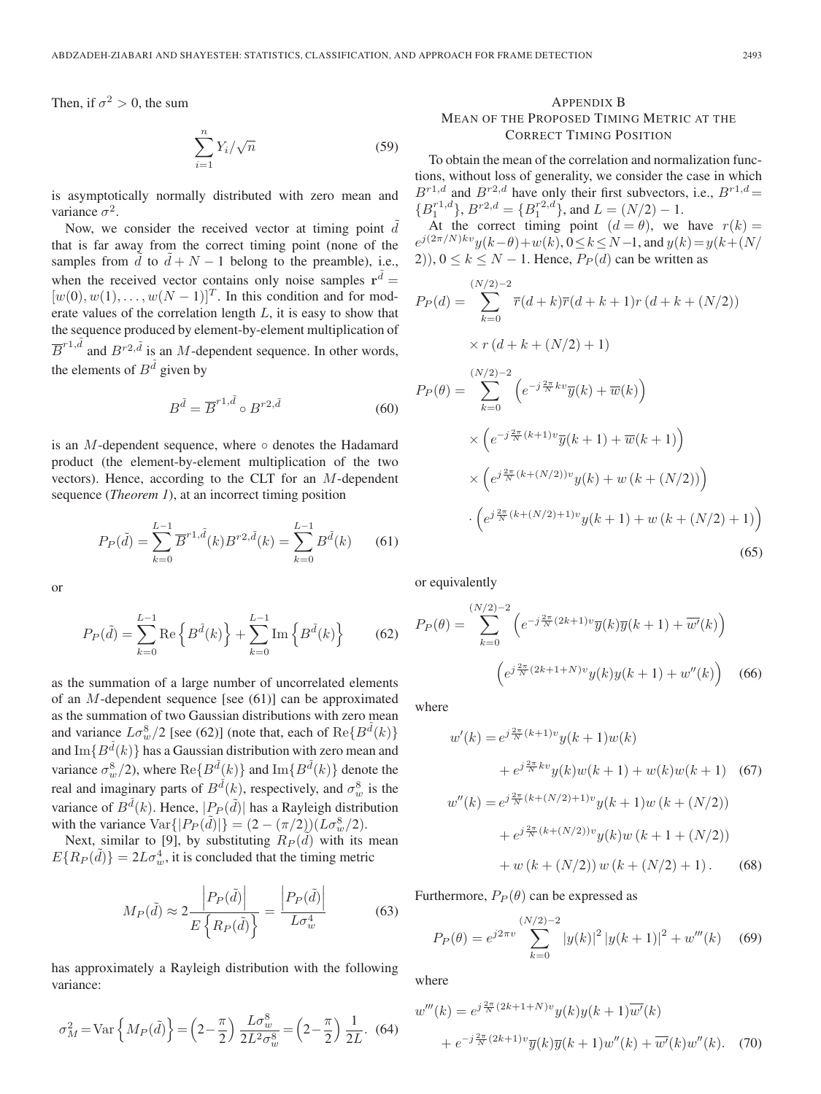Then, if  $\sigma^2 > 0$ , the sum

$$
\sum_{i=1}^{n} Y_i / \sqrt{n} \tag{59}
$$

is asymptotically normally distributed with zero mean and variance  $\sigma^2$ .

Now, we consider the received vector at timing point  $\tilde{d}$ that is far away from the correct timing point (none of the samples from  $\tilde{d}$  to  $\tilde{d} + N - 1$  belong to the preamble), i.e., when the received vector contains only noise samples  $r^d$  =  $[w(0), w(1), \ldots, w(N-1)]^T$ . In this condition and for moderate values of the correlation length  $L$ , it is easy to show that the sequence produced by element-by-element multiplication of  $\overline{B}^{r1, \tilde{d}}$  and  $B^{r2, \tilde{d}}$  is an M-dependent sequence. In other words, the elements of  $B^{\tilde{d}}$  given by

$$
B^{\tilde{d}} = \overline{B}^{r1, \tilde{d}} \circ B^{r2, \tilde{d}} \tag{60}
$$

is an M-dependent sequence, where  $\circ$  denotes the Hadamard product (the element-by-element multiplication of the two vectors). Hence, according to the CLT for an M-dependent sequence (*Theorem 1*), at an incorrect timing position

$$
P_P(\tilde{d}) = \sum_{k=0}^{L-1} \overline{B}^{r1, \tilde{d}}(k) B^{r2, \tilde{d}}(k) = \sum_{k=0}^{L-1} B^{\tilde{d}}(k) \qquad (61)
$$

or

$$
P_P(\tilde{d}) = \sum_{k=0}^{L-1} \text{Re}\left\{ B^{\tilde{d}}(k) \right\} + \sum_{k=0}^{L-1} \text{Im}\left\{ B^{\tilde{d}}(k) \right\} \tag{62}
$$

as the summation of a large number of uncorrelated elements of an M-dependent sequence [see (61)] can be approximated as the summation of two Gaussian distributions with zero mean and variance  $L\sigma_w^8/2$  [see (62)] (note that, each of  $\text{Re}\lbrace B^{\tilde{d}}(k)\rbrace$ and  $\operatorname{Im} \{ B^{\tilde{d}}(k) \}$  has a Gaussian distribution with zero mean and variance  $\sigma_w^8/2$ ), where  $\text{Re}\{B^{\tilde{d}}(k)\}\$  and  $\text{Im}\{B^{\tilde{d}}(k)\}\$  denote the real and imaginary parts of  $B^{\tilde{d}}(k)$ , respectively, and  $\sigma_w^8$  is the variance of  $B^{\tilde{d}}(k)$ . Hence,  $|P_P(\tilde{d})|$  has a Rayleigh distribution with the variance  $\text{Var}\{|P_P(\tilde{d})|\} = (2 - (\pi/2))(L\sigma_w^8/2)$ .

Next, similar to [9], by substituting  $R_P(\tilde{d})$  with its mean  $E\{R_P(\tilde{d})\} = 2L\sigma_w^4$ , it is concluded that the timing metric

$$
M_P(\tilde{d}) \approx 2 \frac{\left| P_P(\tilde{d}) \right|}{E\left\{ R_P(\tilde{d}) \right\}} = \frac{\left| P_P(\tilde{d}) \right|}{L \sigma_w^4} \tag{63}
$$

has approximately a Rayleigh distribution with the following variance:

$$
\sigma_M^2 = \text{Var}\left\{ M_P(\tilde{d}) \right\} = \left(2 - \frac{\pi}{2}\right) \frac{L\sigma_w^8}{2L^2\sigma_w^8} = \left(2 - \frac{\pi}{2}\right) \frac{1}{2L}.\tag{64}
$$

# APPENDIX B MEAN OF THE PROPOSED TIMING METRIC AT THE CORRECT TIMING POSITION

To obtain the mean of the correlation and normalization functions, without loss of generality, we consider the case in which  $B^{r1,d}$  and  $B^{r2,d}$  have only their first subvectors, i.e.,  $B^{r1,d}$  =  ${B_1^{r1,d}}$ ,  $B^{r2,d} = {B_1^{r2,d}}$ , and  $L = (N/2) - 1$ .

At the correct timing point  $(d = \theta)$ , we have  $r(k) =$  $e^{j(2\pi/N)kv}y(k-\theta)+w(k), 0 \le k \le N-1$ , and  $y(k)=y(k+(N/$ 2)),  $0 \le k \le N - 1$ . Hence,  $P_P(d)$  can be written as

$$
P_P(d) = \sum_{k=0}^{(N/2)-2} \overline{r}(d+k)\overline{r}(d+k+1)r(d+k+(N/2))
$$
  
 
$$
\times r(d+k+(N/2)+1)
$$
  
 
$$
P_P(d) = \sum_{k=0}^{(N/2)-2} \left(e^{-j\frac{2\pi}{N}kv\pi(k)} + \frac{\pi}{N}(k)\right)
$$

$$
P_P(\theta) = \sum_{k=0}^{\infty} \left( e^{-j\frac{2\pi}{N}kv} \overline{y}(k) + \overline{w}(k) \right)
$$
  
 
$$
\times \left( e^{-j\frac{2\pi}{N}(k+1)v} \overline{y}(k+1) + \overline{w}(k+1) \right)
$$
  
 
$$
\times \left( e^{j\frac{2\pi}{N}(k+(N/2))v} y(k) + w(k+(N/2)) \right)
$$
  
 
$$
\cdot \left( e^{j\frac{2\pi}{N}(k+(N/2)+1)v} y(k+1) + w(k+(N/2)+1) \right)
$$
  
(65)

or equivalently

$$
P_P(\theta) = \sum_{k=0}^{(N/2)-2} \left( e^{-j\frac{2\pi}{N}(2k+1)v} \overline{y}(k)\overline{y}(k+1) + \overline{w'}(k) \right)
$$

$$
\left( e^{j\frac{2\pi}{N}(2k+1+N)v} y(k)y(k+1) + w''(k) \right)
$$
(66)

where

$$
w'(k) = e^{j\frac{2\pi}{N}(k+1)v}y(k+1)w(k)
$$
  
+  $e^{j\frac{2\pi}{N}kv}y(k)w(k+1) + w(k)w(k+1)$  (67)  

$$
w''(k) = e^{j\frac{2\pi}{N}(k+(N/2)+1)v}y(k+1)w(k+(N/2))
$$
  
+  $e^{j\frac{2\pi}{N}(k+(N/2))v}y(k)w(k+1+(N/2))$   
+  $w(k+(N/2))w(k+(N/2)+1)$ . (68)

Furthermore,  $P_P(\theta)$  can be expressed as

$$
P_P(\theta) = e^{j2\pi v} \sum_{k=0}^{(N/2)-2} |y(k)|^2 |y(k+1)|^2 + w'''(k)
$$
 (69)

where

$$
w'''(k) = e^{j\frac{2\pi}{N}(2k+1+N)v} y(k)y(k+1)\overline{w'}(k)
$$
  
+  $e^{-j\frac{2\pi}{N}(2k+1)v} \overline{y}(k)\overline{y}(k+1)w''(k) + \overline{w'}(k)w''(k).$  (70)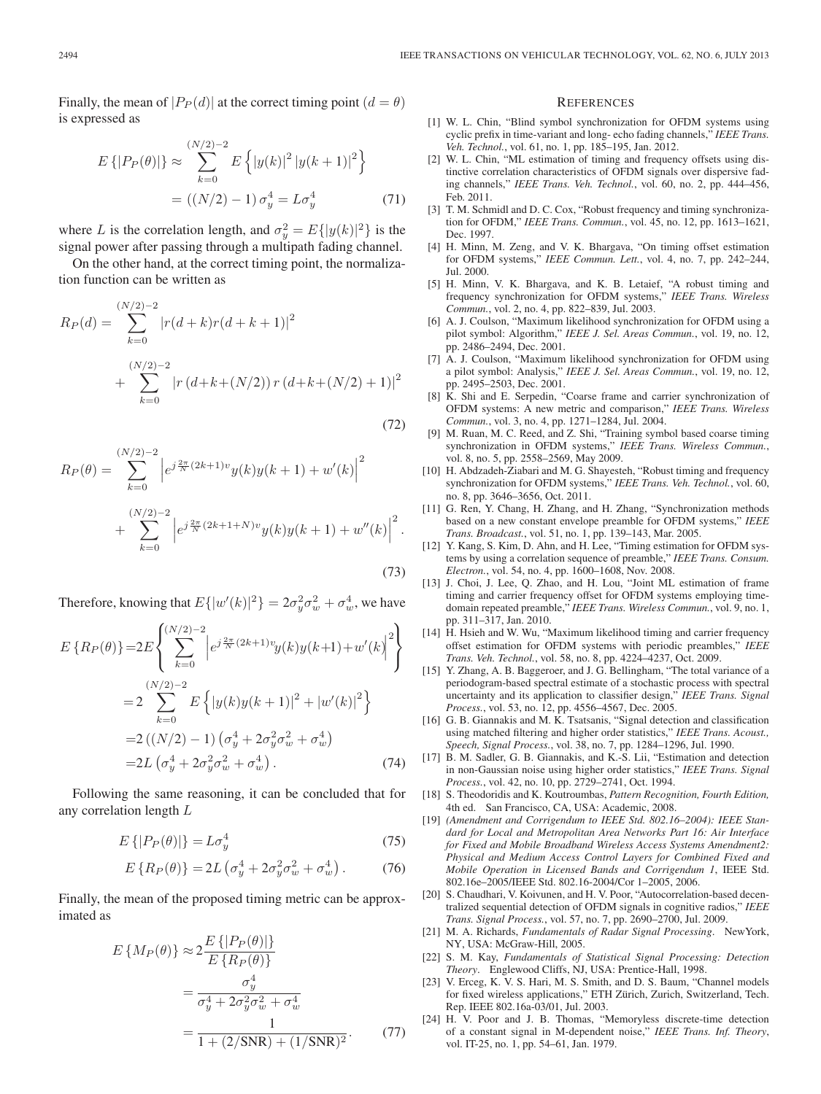Finally, the mean of  $|P_P(d)|$  at the correct timing point  $(d = \theta)$ is expressed as

$$
E\{|P_P(\theta)|\} \approx \sum_{k=0}^{(N/2)-2} E\{|y(k)|^2 |y(k+1)|^2\}
$$
  
= ((N/2) - 1)  $\sigma_y^4 = L\sigma_y^4$  (71)

where L is the correlation length, and  $\sigma_y^2 = E\{|y(k)|^2\}$  is the signal power after passing through a multipath fading channel.

On the other hand, at the correct timing point, the normalization function can be written as

$$
R_P(d) = \sum_{k=0}^{(N/2)-2} |r(d+k)r(d+k+1)|^2
$$
  
+ 
$$
\sum_{k=0}^{(N/2)-2} |r(d+k+(N/2))r(d+k+(N/2)+1)|^2
$$
 (72)

$$
R_P(\theta) = \sum_{k=0}^{(N/2)-2} \left| e^{j\frac{2\pi}{N}(2k+1)v} y(k)y(k+1) + w'(k) \right|^2 + \sum_{k=0}^{(N/2)-2} \left| e^{j\frac{2\pi}{N}(2k+1+N)v} y(k)y(k+1) + w''(k) \right|^2.
$$
\n(73)

Therefore, knowing that  $E\{|w'(k)|^2\} = 2\sigma_y^2 \sigma_w^2 + \sigma_w^4$ , we have

$$
E\left\{R_P(\theta)\right\} = 2E\left\{\sum_{k=0}^{(N/2)-2} \left|e^{j\frac{2\pi}{N}(2k+1)v}y(k)y(k+1) + w'(k)\right|^2\right\}
$$

$$
= 2\sum_{k=0}^{(N/2)-2} E\left\{|y(k)y(k+1)|^2 + |w'(k)|^2\right\}
$$

$$
= 2((N/2) - 1)\left(\sigma_y^4 + 2\sigma_y^2\sigma_w^2 + \sigma_w^4\right)
$$

$$
= 2L\left(\sigma_y^4 + 2\sigma_y^2\sigma_w^2 + \sigma_w^4\right). \tag{74}
$$

Following the same reasoning, it can be concluded that for any correlation length L

$$
E\{|P_P(\theta)|\} = L\sigma_y^4\tag{75}
$$

$$
E\left\{R_P(\theta)\right\} = 2L\left(\sigma_y^4 + 2\sigma_y^2\sigma_w^2 + \sigma_w^4\right). \tag{76}
$$

Finally, the mean of the proposed timing metric can be approximated as

$$
E\{M_P(\theta)\} \approx 2 \frac{E\{|P_P(\theta)|\}}{E\{R_P(\theta)\}}
$$

$$
= \frac{\sigma_y^4}{\sigma_y^4 + 2\sigma_y^2 \sigma_w^2 + \sigma_w^4}
$$

$$
= \frac{1}{1 + (2/\text{SNR}) + (1/\text{SNR})^2}.
$$
(77)

#### **REFERENCES**

- [1] W. L. Chin, "Blind symbol synchronization for OFDM systems using cyclic prefix in time-variant and long- echo fading channels," *IEEE Trans. Veh. Technol.*, vol. 61, no. 1, pp. 185–195, Jan. 2012.
- [2] W. L. Chin, "ML estimation of timing and frequency offsets using distinctive correlation characteristics of OFDM signals over dispersive fading channels," *IEEE Trans. Veh. Technol.*, vol. 60, no. 2, pp. 444–456, Feb. 2011.
- [3] T. M. Schmidl and D. C. Cox, "Robust frequency and timing synchronization for OFDM," *IEEE Trans. Commun.*, vol. 45, no. 12, pp. 1613–1621, Dec. 1997.
- [4] H. Minn, M. Zeng, and V. K. Bhargava, "On timing offset estimation for OFDM systems," *IEEE Commun. Lett.*, vol. 4, no. 7, pp. 242–244, Jul. 2000.
- [5] H. Minn, V. K. Bhargava, and K. B. Letaief, "A robust timing and frequency synchronization for OFDM systems," *IEEE Trans. Wireless Commun.*, vol. 2, no. 4, pp. 822–839, Jul. 2003.
- [6] A. J. Coulson, "Maximum likelihood synchronization for OFDM using a pilot symbol: Algorithm," *IEEE J. Sel. Areas Commun.*, vol. 19, no. 12, pp. 2486–2494, Dec. 2001.
- [7] A. J. Coulson, "Maximum likelihood synchronization for OFDM using a pilot symbol: Analysis," *IEEE J. Sel. Areas Commun.*, vol. 19, no. 12, pp. 2495–2503, Dec. 2001.
- [8] K. Shi and E. Serpedin, "Coarse frame and carrier synchronization of OFDM systems: A new metric and comparison," *IEEE Trans. Wireless Commun.*, vol. 3, no. 4, pp. 1271–1284, Jul. 2004.
- [9] M. Ruan, M. C. Reed, and Z. Shi, "Training symbol based coarse timing synchronization in OFDM systems," *IEEE Trans. Wireless Commun.*, vol. 8, no. 5, pp. 2558–2569, May 2009.
- [10] H. Abdzadeh-Ziabari and M. G. Shayesteh, "Robust timing and frequency synchronization for OFDM systems," *IEEE Trans. Veh. Technol.*, vol. 60, no. 8, pp. 3646–3656, Oct. 2011.
- [11] G. Ren, Y. Chang, H. Zhang, and H. Zhang, "Synchronization methods based on a new constant envelope preamble for OFDM systems," *IEEE Trans. Broadcast.*, vol. 51, no. 1, pp. 139–143, Mar. 2005.
- [12] Y. Kang, S. Kim, D. Ahn, and H. Lee, "Timing estimation for OFDM systems by using a correlation sequence of preamble," *IEEE Trans. Consum. Electron.*, vol. 54, no. 4, pp. 1600–1608, Nov. 2008.
- [13] J. Choi, J. Lee, Q. Zhao, and H. Lou, "Joint ML estimation of frame timing and carrier frequency offset for OFDM systems employing timedomain repeated preamble," *IEEE Trans. Wireless Commun.*, vol. 9, no. 1, pp. 311–317, Jan. 2010.
- [14] H. Hsieh and W. Wu, "Maximum likelihood timing and carrier frequency offset estimation for OFDM systems with periodic preambles," *IEEE Trans. Veh. Technol.*, vol. 58, no. 8, pp. 4224–4237, Oct. 2009.
- [15] Y. Zhang, A. B. Baggeroer, and J. G. Bellingham, "The total variance of a periodogram-based spectral estimate of a stochastic process with spectral uncertainty and its application to classifier design," *IEEE Trans. Signal Process.*, vol. 53, no. 12, pp. 4556–4567, Dec. 2005.
- [16] G. B. Giannakis and M. K. Tsatsanis, "Signal detection and classification using matched filtering and higher order statistics," *IEEE Trans. Acoust., Speech, Signal Process.*, vol. 38, no. 7, pp. 1284–1296, Jul. 1990.
- [17] B. M. Sadler, G. B. Giannakis, and K.-S. Lii, "Estimation and detection in non-Gaussian noise using higher order statistics," *IEEE Trans. Signal Process.*, vol. 42, no. 10, pp. 2729–2741, Oct. 1994.
- [18] S. Theodoridis and K. Koutroumbas, *Pattern Recognition, Fourth Edition,* 4th ed. San Francisco, CA, USA: Academic, 2008.
- [19] (Amendment and Corrigendum to IEEE Std. 802.16-2004): IEEE Stan*dard for Local and Metropolitan Area Networks Part 16: Air Interface for Fixed and Mobile Broadband Wireless Access Systems Amendment2: Physical and Medium Access Control Layers for Combined Fixed and Mobile Operation in Licensed Bands and Corrigendum 1*, IEEE Std. 802.16e–2005/IEEE Std. 802.16-2004/Cor 1–2005, 2006.
- [20] S. Chaudhari, V. Koivunen, and H. V. Poor, "Autocorrelation-based decentralized sequential detection of OFDM signals in cognitive radios," *IEEE Trans. Signal Process.*, vol. 57, no. 7, pp. 2690–2700, Jul. 2009.
- [21] M. A. Richards, *Fundamentals of Radar Signal Processing*. NewYork, NY, USA: McGraw-Hill, 2005.
- [22] S. M. Kay, *Fundamentals of Statistical Signal Processing: Detection Theory*. Englewood Cliffs, NJ, USA: Prentice-Hall, 1998.
- [23] V. Erceg, K. V. S. Hari, M. S. Smith, and D. S. Baum, "Channel models for fixed wireless applications," ETH Zürich, Zurich, Switzerland, Tech. Rep. IEEE 802.16a-03/01, Jul. 2003.
- [24] H. V. Poor and J. B. Thomas, "Memoryless discrete-time detection of a constant signal in M-dependent noise," *IEEE Trans. Inf. Theory*, vol. IT-25, no. 1, pp. 54–61, Jan. 1979.